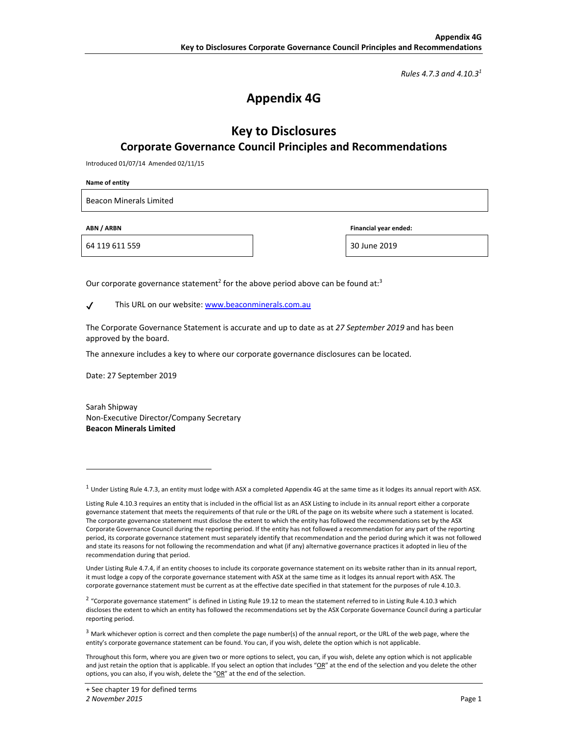*Rules 4.7.3 and 4.10.31*

# **Appendix 4G**

## **Key to Disclosures Corporate Governance Council Principles and Recommendations**

Introduced 01/07/14 Amended 02/11/15

**Name of entity** 

Beacon Minerals Limited

64 119 611 559 30 June 2019

**ABN / ARBN Financial year ended:** 

Our corporate governance statement<sup>2</sup> for the above period above can be found at:<sup>3</sup>

✔ This URL on our website: www.beaconminerals.com.au

The Corporate Governance Statement is accurate and up to date as at *27 September 2019* and has been approved by the board.

The annexure includes a key to where our corporate governance disclosures can be located.

Date: 27 September 2019

Sarah Shipway Non‐Executive Director/Company Secretary **Beacon Minerals Limited** 

 $1$  Under Listing Rule 4.7.3, an entity must lodge with ASX a completed Appendix 4G at the same time as it lodges its annual report with ASX.

Listing Rule 4.10.3 requires an entity that is included in the official list as an ASX Listing to include in its annual report either a corporate governance statement that meets the requirements of that rule or the URL of the page on its website where such a statement is located. The corporate governance statement must disclose the extent to which the entity has followed the recommendations set by the ASX Corporate Governance Council during the reporting period. If the entity has not followed a recommendation for any part of the reporting period, its corporate governance statement must separately identify that recommendation and the period during which it was not followed and state its reasons for not following the recommendation and what (if any) alternative governance practices it adopted in lieu of the recommendation during that period.

Under Listing Rule 4.7.4, if an entity chooses to include its corporate governance statement on its website rather than in its annual report, it must lodge a copy of the corporate governance statement with ASX at the same time as it lodges its annual report with ASX. The corporate governance statement must be current as at the effective date specified in that statement for the purposes of rule 4.10.3.

<sup>&</sup>lt;sup>2</sup> "Corporate governance statement" is defined in Listing Rule 19.12 to mean the statement referred to in Listing Rule 4.10.3 which discloses the extent to which an entity has followed the recommendations set by the ASX Corporate Governance Council during a particular reporting period.

 $3$  Mark whichever option is correct and then complete the page number(s) of the annual report, or the URL of the web page, where the entity's corporate governance statement can be found. You can, if you wish, delete the option which is not applicable.

Throughout this form, where you are given two or more options to select, you can, if you wish, delete any option which is not applicable and just retain the option that is applicable. If you select an option that includes "OR" at the end of the selection and you delete the other options, you can also, if you wish, delete the "OR" at the end of the selection.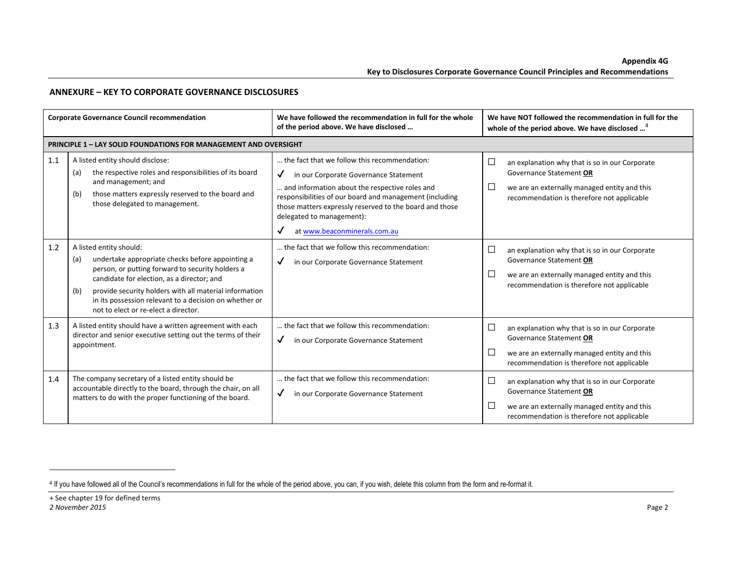### **ANNEXURE – KEY TO CORPORATE GOVERNANCE DISCLOSURES**

| <b>Corporate Governance Council recommendation</b> |                                                                                                                                                                                                                                                                                                                                                         | We have followed the recommendation in full for the whole<br>of the period above. We have disclosed                                                                                                                                                                                                                                                                                        | We have NOT followed the recommendation in full for the<br>whole of the period above. We have disclosed <sup>4</sup>                                                                        |
|----------------------------------------------------|---------------------------------------------------------------------------------------------------------------------------------------------------------------------------------------------------------------------------------------------------------------------------------------------------------------------------------------------------------|--------------------------------------------------------------------------------------------------------------------------------------------------------------------------------------------------------------------------------------------------------------------------------------------------------------------------------------------------------------------------------------------|---------------------------------------------------------------------------------------------------------------------------------------------------------------------------------------------|
|                                                    | <b>PRINCIPLE 1 - LAY SOLID FOUNDATIONS FOR MANAGEMENT AND OVERSIGHT</b>                                                                                                                                                                                                                                                                                 |                                                                                                                                                                                                                                                                                                                                                                                            |                                                                                                                                                                                             |
| 1.1                                                | A listed entity should disclose:<br>the respective roles and responsibilities of its board<br>(a)<br>and management; and<br>those matters expressly reserved to the board and<br>(b)<br>those delegated to management.                                                                                                                                  | the fact that we follow this recommendation:<br>in our Corporate Governance Statement<br>$\checkmark$<br>and information about the respective roles and<br>responsibilities of our board and management (including<br>those matters expressly reserved to the board and those<br>delegated to management):<br>at www.beaconminerals.com.au<br>the fact that we follow this recommendation: | $\Box$<br>an explanation why that is so in our Corporate<br>Governance Statement OR<br>$\Box$<br>we are an externally managed entity and this<br>recommendation is therefore not applicable |
| 1.2                                                | A listed entity should:<br>undertake appropriate checks before appointing a<br>(a)<br>person, or putting forward to security holders a<br>candidate for election, as a director; and<br>provide security holders with all material information<br>(b)<br>in its possession relevant to a decision on whether or<br>not to elect or re-elect a director. | $\checkmark$<br>in our Corporate Governance Statement                                                                                                                                                                                                                                                                                                                                      | $\Box$<br>an explanation why that is so in our Corporate<br>Governance Statement OR<br>$\Box$<br>we are an externally managed entity and this<br>recommendation is therefore not applicable |
| 1.3                                                | A listed entity should have a written agreement with each<br>director and senior executive setting out the terms of their<br>appointment.                                                                                                                                                                                                               | the fact that we follow this recommendation:<br>$\checkmark$<br>in our Corporate Governance Statement                                                                                                                                                                                                                                                                                      | $\Box$<br>an explanation why that is so in our Corporate<br>Governance Statement OR<br>$\Box$<br>we are an externally managed entity and this<br>recommendation is therefore not applicable |
| 1.4                                                | The company secretary of a listed entity should be<br>accountable directly to the board, through the chair, on all<br>matters to do with the proper functioning of the board.                                                                                                                                                                           | the fact that we follow this recommendation:<br>$\checkmark$<br>in our Corporate Governance Statement                                                                                                                                                                                                                                                                                      | $\Box$<br>an explanation why that is so in our Corporate<br>Governance Statement OR<br>$\Box$<br>we are an externally managed entity and this<br>recommendation is therefore not applicable |

<sup>&</sup>lt;sup>4</sup> If you have followed all of the Council's recommendations in full for the whole of the period above, you can, if you wish, delete this column from the form and re-format it.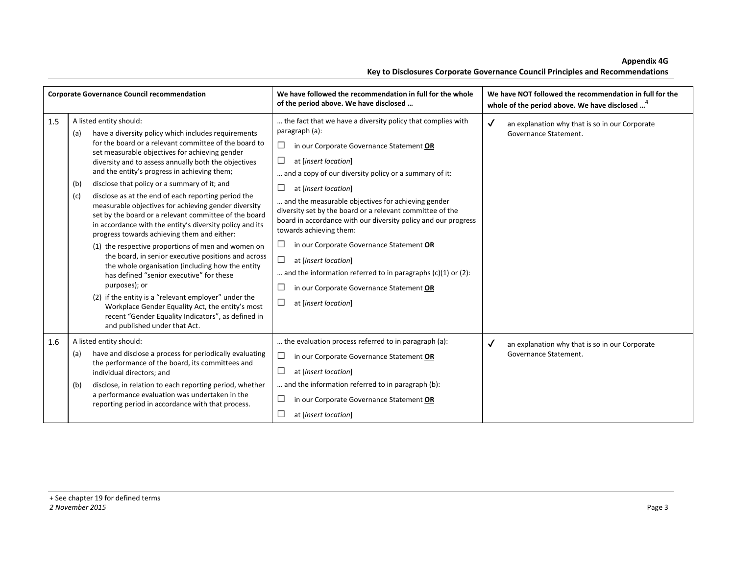**Appendix 4G** 

|     | <b>Corporate Governance Council recommendation</b>                                                                                                                                                                                                                                                                                                                                                                                                                                                                                                                                                                                                                                                                                                                                                                                                                                                                                                                                                                                                                                         | We have followed the recommendation in full for the whole<br>of the period above. We have disclosed                                                                                                                                                                                                                                                                                                                                                                                                                                                                                                                                                                                                                               | We have NOT followed the recommendation in full for the<br>whole of the period above. We have disclosed <sup>4</sup> |
|-----|--------------------------------------------------------------------------------------------------------------------------------------------------------------------------------------------------------------------------------------------------------------------------------------------------------------------------------------------------------------------------------------------------------------------------------------------------------------------------------------------------------------------------------------------------------------------------------------------------------------------------------------------------------------------------------------------------------------------------------------------------------------------------------------------------------------------------------------------------------------------------------------------------------------------------------------------------------------------------------------------------------------------------------------------------------------------------------------------|-----------------------------------------------------------------------------------------------------------------------------------------------------------------------------------------------------------------------------------------------------------------------------------------------------------------------------------------------------------------------------------------------------------------------------------------------------------------------------------------------------------------------------------------------------------------------------------------------------------------------------------------------------------------------------------------------------------------------------------|----------------------------------------------------------------------------------------------------------------------|
| 1.5 | A listed entity should:<br>have a diversity policy which includes requirements<br>(a)<br>for the board or a relevant committee of the board to<br>set measurable objectives for achieving gender<br>diversity and to assess annually both the objectives<br>and the entity's progress in achieving them;<br>disclose that policy or a summary of it; and<br>(b)<br>disclose as at the end of each reporting period the<br>(c)<br>measurable objectives for achieving gender diversity<br>set by the board or a relevant committee of the board<br>in accordance with the entity's diversity policy and its<br>progress towards achieving them and either:<br>(1) the respective proportions of men and women on<br>the board, in senior executive positions and across<br>the whole organisation (including how the entity<br>has defined "senior executive" for these<br>purposes); or<br>(2) if the entity is a "relevant employer" under the<br>Workplace Gender Equality Act, the entity's most<br>recent "Gender Equality Indicators", as defined in<br>and published under that Act. | the fact that we have a diversity policy that complies with<br>paragraph (a):<br>$\Box$<br>in our Corporate Governance Statement OR<br>$\Box$<br>at [insert location]<br>and a copy of our diversity policy or a summary of it:<br>$\Box$<br>at [insert location]<br>and the measurable objectives for achieving gender<br>diversity set by the board or a relevant committee of the<br>board in accordance with our diversity policy and our progress<br>towards achieving them:<br>$\Box$<br>in our Corporate Governance Statement OR<br>$\Box$<br>at [insert location]<br>and the information referred to in paragraphs $(c)(1)$ or $(2)$ :<br>□<br>in our Corporate Governance Statement OR<br>$\Box$<br>at [insert location] | $\checkmark$<br>an explanation why that is so in our Corporate<br>Governance Statement.                              |
| 1.6 | A listed entity should:<br>have and disclose a process for periodically evaluating<br>(a)<br>the performance of the board, its committees and<br>individual directors; and<br>disclose, in relation to each reporting period, whether<br>(b)<br>a performance evaluation was undertaken in the<br>reporting period in accordance with that process.                                                                                                                                                                                                                                                                                                                                                                                                                                                                                                                                                                                                                                                                                                                                        | the evaluation process referred to in paragraph (a):<br>$\Box$<br>in our Corporate Governance Statement OR<br>$\Box$<br>at [insert location]<br>and the information referred to in paragraph (b):<br>$\Box$<br>in our Corporate Governance Statement OR<br>$\Box$<br>at [insert location]                                                                                                                                                                                                                                                                                                                                                                                                                                         | $\checkmark$<br>an explanation why that is so in our Corporate<br>Governance Statement.                              |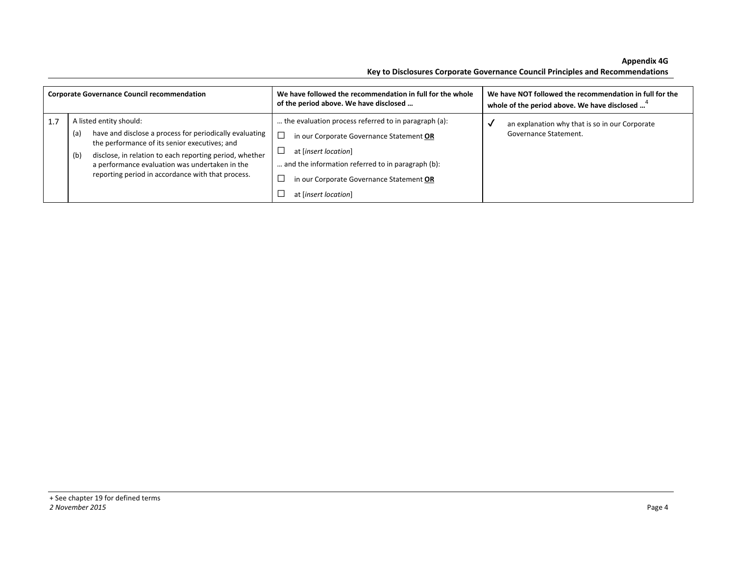**Appendix 4G Key to Disclosures Corporate Governance Council Principles and Recommendations** 

| <b>Corporate Governance Council recommendation</b> |                                                                                                                                                                                                                                                                                                                     | We have followed the recommendation in full for the whole<br>of the period above. We have disclosed                                                                                                                                               | We have NOT followed the recommendation in full for the<br>whole of the period above. We have disclosed <sup>4</sup> |
|----------------------------------------------------|---------------------------------------------------------------------------------------------------------------------------------------------------------------------------------------------------------------------------------------------------------------------------------------------------------------------|---------------------------------------------------------------------------------------------------------------------------------------------------------------------------------------------------------------------------------------------------|----------------------------------------------------------------------------------------------------------------------|
| 1.7                                                | A listed entity should:<br>have and disclose a process for periodically evaluating<br>(a)<br>the performance of its senior executives; and<br>disclose, in relation to each reporting period, whether<br>(b)<br>a performance evaluation was undertaken in the<br>reporting period in accordance with that process. | the evaluation process referred to in paragraph (a):<br>in our Corporate Governance Statement OR<br>at [insert location]<br>and the information referred to in paragraph (b):<br>in our Corporate Governance Statement OR<br>at [insert location] | an explanation why that is so in our Corporate<br>Governance Statement.                                              |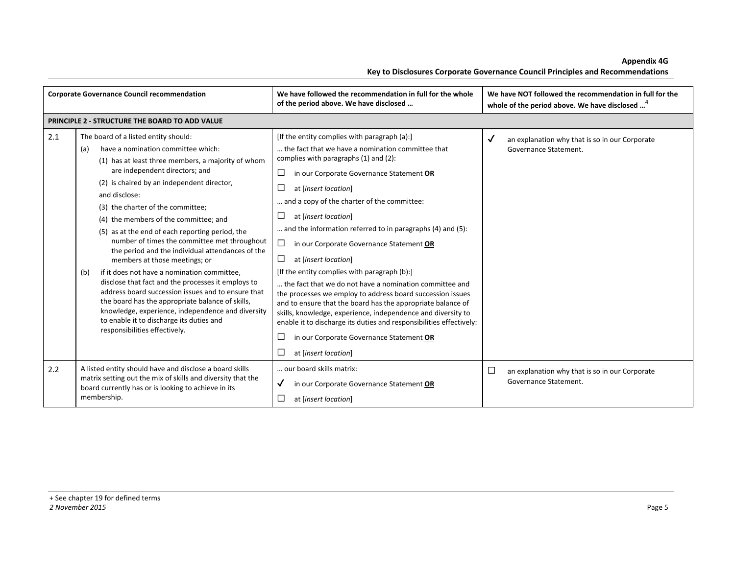| <b>Corporate Governance Council recommendation</b> |                                                                                                                                                                                                                                                                                                                                                                                                                                                                                                                                                                                                                                                                                                                                                                                                                                                                        | We have followed the recommendation in full for the whole<br>of the period above. We have disclosed                                                                                                                                                                                                                                                                                                                                                                                                                                                                                                                                                                                                                                                                                                                                                                                            | We have NOT followed the recommendation in full for the<br>whole of the period above. We have disclosed <sup>4</sup> |
|----------------------------------------------------|------------------------------------------------------------------------------------------------------------------------------------------------------------------------------------------------------------------------------------------------------------------------------------------------------------------------------------------------------------------------------------------------------------------------------------------------------------------------------------------------------------------------------------------------------------------------------------------------------------------------------------------------------------------------------------------------------------------------------------------------------------------------------------------------------------------------------------------------------------------------|------------------------------------------------------------------------------------------------------------------------------------------------------------------------------------------------------------------------------------------------------------------------------------------------------------------------------------------------------------------------------------------------------------------------------------------------------------------------------------------------------------------------------------------------------------------------------------------------------------------------------------------------------------------------------------------------------------------------------------------------------------------------------------------------------------------------------------------------------------------------------------------------|----------------------------------------------------------------------------------------------------------------------|
|                                                    | PRINCIPLE 2 - STRUCTURE THE BOARD TO ADD VALUE                                                                                                                                                                                                                                                                                                                                                                                                                                                                                                                                                                                                                                                                                                                                                                                                                         |                                                                                                                                                                                                                                                                                                                                                                                                                                                                                                                                                                                                                                                                                                                                                                                                                                                                                                |                                                                                                                      |
| 2.1                                                | The board of a listed entity should:<br>have a nomination committee which:<br>(a)<br>(1) has at least three members, a majority of whom<br>are independent directors; and<br>(2) is chaired by an independent director,<br>and disclose:<br>(3) the charter of the committee;<br>(4) the members of the committee; and<br>(5) as at the end of each reporting period, the<br>number of times the committee met throughout<br>the period and the individual attendances of the<br>members at those meetings; or<br>if it does not have a nomination committee,<br>(b)<br>disclose that fact and the processes it employs to<br>address board succession issues and to ensure that<br>the board has the appropriate balance of skills,<br>knowledge, experience, independence and diversity<br>to enable it to discharge its duties and<br>responsibilities effectively. | [If the entity complies with paragraph (a):]<br>the fact that we have a nomination committee that<br>complies with paragraphs (1) and (2):<br>ப<br>in our Corporate Governance Statement OR<br>at [insert location]<br>and a copy of the charter of the committee:<br>at [insert location]<br>⊔<br>and the information referred to in paragraphs (4) and (5):<br>⊔<br>in our Corporate Governance Statement OR<br>at [insert location]<br>⊔<br>[If the entity complies with paragraph (b):]<br>the fact that we do not have a nomination committee and<br>the processes we employ to address board succession issues<br>and to ensure that the board has the appropriate balance of<br>skills, knowledge, experience, independence and diversity to<br>enable it to discharge its duties and responsibilities effectively:<br>in our Corporate Governance Statement OR<br>at [insert location] | ✓<br>an explanation why that is so in our Corporate<br>Governance Statement.                                         |
| 2.2                                                | A listed entity should have and disclose a board skills<br>matrix setting out the mix of skills and diversity that the<br>board currently has or is looking to achieve in its<br>membership.                                                                                                                                                                                                                                                                                                                                                                                                                                                                                                                                                                                                                                                                           | our board skills matrix:<br>in our Corporate Governance Statement OR<br>$\checkmark$<br>at [insert location]                                                                                                                                                                                                                                                                                                                                                                                                                                                                                                                                                                                                                                                                                                                                                                                   | $\Box$<br>an explanation why that is so in our Corporate<br>Governance Statement.                                    |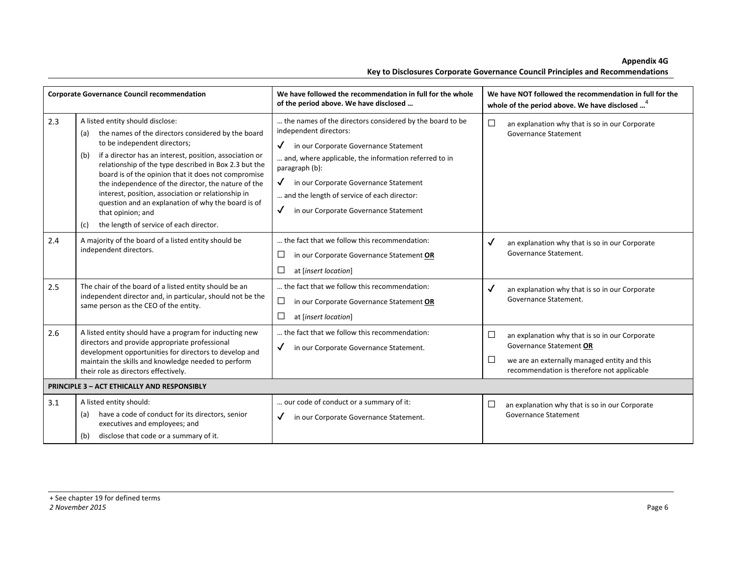**Appendix 4G** 

|  |  | Key to Disclosures Corporate Governance Council Principles and Recommendations |  |
|--|--|--------------------------------------------------------------------------------|--|
|  |  |                                                                                |  |

|     | <b>Corporate Governance Council recommendation</b>                                                                                                                                                                                                                                                                                                                                                                                                                                                                                                        | We have followed the recommendation in full for the whole<br>of the period above. We have disclosed                                                                                                                                                                                                                                                                     | We have NOT followed the recommendation in full for the<br>whole of the period above. We have disclosed <sup>4</sup>                                                                        |
|-----|-----------------------------------------------------------------------------------------------------------------------------------------------------------------------------------------------------------------------------------------------------------------------------------------------------------------------------------------------------------------------------------------------------------------------------------------------------------------------------------------------------------------------------------------------------------|-------------------------------------------------------------------------------------------------------------------------------------------------------------------------------------------------------------------------------------------------------------------------------------------------------------------------------------------------------------------------|---------------------------------------------------------------------------------------------------------------------------------------------------------------------------------------------|
| 2.3 | A listed entity should disclose:<br>the names of the directors considered by the board<br>(a)<br>to be independent directors;<br>if a director has an interest, position, association or<br>(b)<br>relationship of the type described in Box 2.3 but the<br>board is of the opinion that it does not compromise<br>the independence of the director, the nature of the<br>interest, position, association or relationship in<br>question and an explanation of why the board is of<br>that opinion; and<br>the length of service of each director.<br>(c) | the names of the directors considered by the board to be<br>independent directors:<br>in our Corporate Governance Statement<br>$\checkmark$<br>and, where applicable, the information referred to in<br>paragraph (b):<br>in our Corporate Governance Statement<br>and the length of service of each director:<br>$\checkmark$<br>in our Corporate Governance Statement | $\Box$<br>an explanation why that is so in our Corporate<br>Governance Statement                                                                                                            |
| 2.4 | A majority of the board of a listed entity should be<br>independent directors.                                                                                                                                                                                                                                                                                                                                                                                                                                                                            | the fact that we follow this recommendation:<br>$\Box$<br>in our Corporate Governance Statement OR<br>at [insert location]                                                                                                                                                                                                                                              | ✓<br>an explanation why that is so in our Corporate<br>Governance Statement.                                                                                                                |
| 2.5 | The chair of the board of a listed entity should be an<br>independent director and, in particular, should not be the<br>same person as the CEO of the entity.                                                                                                                                                                                                                                                                                                                                                                                             | the fact that we follow this recommendation:<br>$\Box$<br>in our Corporate Governance Statement OR<br>$\Box$<br>at [insert location]                                                                                                                                                                                                                                    | ✓<br>an explanation why that is so in our Corporate<br>Governance Statement.                                                                                                                |
| 2.6 | A listed entity should have a program for inducting new<br>directors and provide appropriate professional<br>development opportunities for directors to develop and<br>maintain the skills and knowledge needed to perform<br>their role as directors effectively.                                                                                                                                                                                                                                                                                        | the fact that we follow this recommendation:<br>in our Corporate Governance Statement.<br>$\checkmark$                                                                                                                                                                                                                                                                  | $\Box$<br>an explanation why that is so in our Corporate<br>Governance Statement OR<br>$\Box$<br>we are an externally managed entity and this<br>recommendation is therefore not applicable |
|     | <b>PRINCIPLE 3 - ACT ETHICALLY AND RESPONSIBLY</b>                                                                                                                                                                                                                                                                                                                                                                                                                                                                                                        |                                                                                                                                                                                                                                                                                                                                                                         |                                                                                                                                                                                             |
| 3.1 | A listed entity should:<br>have a code of conduct for its directors, senior<br>(a)<br>executives and employees; and<br>disclose that code or a summary of it.<br>(b)                                                                                                                                                                                                                                                                                                                                                                                      | our code of conduct or a summary of it:<br>in our Corporate Governance Statement.<br>$\checkmark$                                                                                                                                                                                                                                                                       | □<br>an explanation why that is so in our Corporate<br><b>Governance Statement</b>                                                                                                          |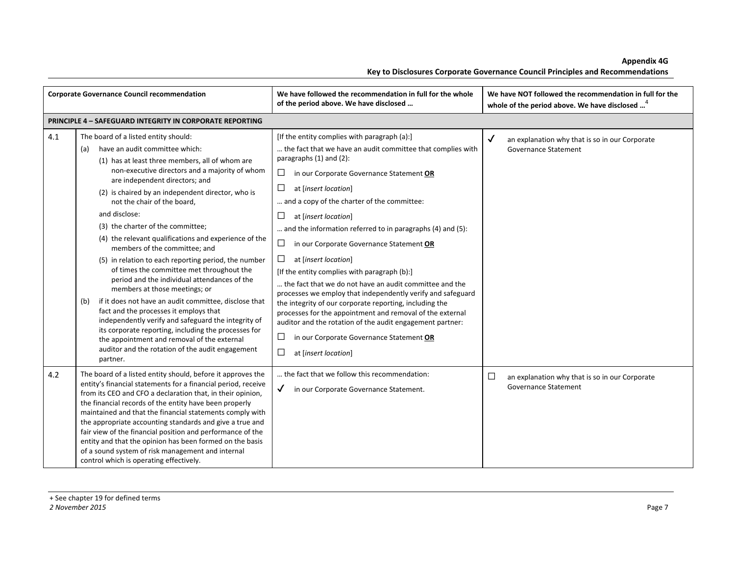| <b>Corporate Governance Council recommendation</b> |                                                                                                                                                                                                                                                                                                                                                                                                                                                                                                                                                                                                                                                                                                                                                                                                                                                                                                                                                                                        | We have followed the recommendation in full for the whole<br>of the period above. We have disclosed                                                                                                                                                                                                                                                                                                                                                                                                                                                                                                                                                                                                                                                                                                                                                                                                                     | We have NOT followed the recommendation in full for the<br>whole of the period above. We have disclosed <sup>4</sup> |
|----------------------------------------------------|----------------------------------------------------------------------------------------------------------------------------------------------------------------------------------------------------------------------------------------------------------------------------------------------------------------------------------------------------------------------------------------------------------------------------------------------------------------------------------------------------------------------------------------------------------------------------------------------------------------------------------------------------------------------------------------------------------------------------------------------------------------------------------------------------------------------------------------------------------------------------------------------------------------------------------------------------------------------------------------|-------------------------------------------------------------------------------------------------------------------------------------------------------------------------------------------------------------------------------------------------------------------------------------------------------------------------------------------------------------------------------------------------------------------------------------------------------------------------------------------------------------------------------------------------------------------------------------------------------------------------------------------------------------------------------------------------------------------------------------------------------------------------------------------------------------------------------------------------------------------------------------------------------------------------|----------------------------------------------------------------------------------------------------------------------|
|                                                    | <b>PRINCIPLE 4 - SAFEGUARD INTEGRITY IN CORPORATE REPORTING</b>                                                                                                                                                                                                                                                                                                                                                                                                                                                                                                                                                                                                                                                                                                                                                                                                                                                                                                                        |                                                                                                                                                                                                                                                                                                                                                                                                                                                                                                                                                                                                                                                                                                                                                                                                                                                                                                                         |                                                                                                                      |
| 4.1                                                | The board of a listed entity should:<br>have an audit committee which:<br>(a)<br>(1) has at least three members, all of whom are<br>non-executive directors and a majority of whom<br>are independent directors; and<br>(2) is chaired by an independent director, who is<br>not the chair of the board,<br>and disclose:<br>(3) the charter of the committee;<br>(4) the relevant qualifications and experience of the<br>members of the committee; and<br>(5) in relation to each reporting period, the number<br>of times the committee met throughout the<br>period and the individual attendances of the<br>members at those meetings; or<br>if it does not have an audit committee, disclose that<br>(b)<br>fact and the processes it employs that<br>independently verify and safeguard the integrity of<br>its corporate reporting, including the processes for<br>the appointment and removal of the external<br>auditor and the rotation of the audit engagement<br>partner. | [If the entity complies with paragraph (a):]<br>the fact that we have an audit committee that complies with<br>paragraphs (1) and (2):<br>$\Box$<br>in our Corporate Governance Statement OR<br>$\Box$<br>at [insert location]<br>and a copy of the charter of the committee:<br>$\Box$<br>at [insert location]<br>and the information referred to in paragraphs (4) and (5):<br>$\Box$<br>in our Corporate Governance Statement OR<br>□<br>at [insert location]<br>[If the entity complies with paragraph (b):]<br>the fact that we do not have an audit committee and the<br>processes we employ that independently verify and safeguard<br>the integrity of our corporate reporting, including the<br>processes for the appointment and removal of the external<br>auditor and the rotation of the audit engagement partner:<br>$\Box$<br>in our Corporate Governance Statement OR<br>$\Box$<br>at [insert location] | $\checkmark$<br>an explanation why that is so in our Corporate<br><b>Governance Statement</b>                        |
| 4.2                                                | The board of a listed entity should, before it approves the<br>entity's financial statements for a financial period, receive<br>from its CEO and CFO a declaration that, in their opinion,<br>the financial records of the entity have been properly<br>maintained and that the financial statements comply with<br>the appropriate accounting standards and give a true and<br>fair view of the financial position and performance of the<br>entity and that the opinion has been formed on the basis<br>of a sound system of risk management and internal<br>control which is operating effectively.                                                                                                                                                                                                                                                                                                                                                                                 | the fact that we follow this recommendation:<br>$\checkmark$<br>in our Corporate Governance Statement.                                                                                                                                                                                                                                                                                                                                                                                                                                                                                                                                                                                                                                                                                                                                                                                                                  | □<br>an explanation why that is so in our Corporate<br>Governance Statement                                          |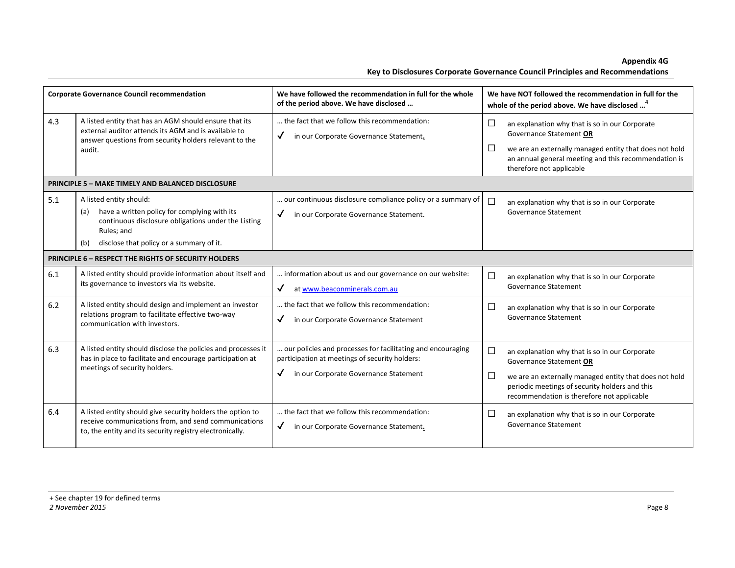**Appendix 4G** 

|     | <b>Corporate Governance Council recommendation</b>                                                                                                                                                     | We have followed the recommendation in full for the whole<br>of the period above. We have disclosed                                                    | We have NOT followed the recommendation in full for the<br>whole of the period above. We have disclosed <sup>4</sup>                                                                                                                          |
|-----|--------------------------------------------------------------------------------------------------------------------------------------------------------------------------------------------------------|--------------------------------------------------------------------------------------------------------------------------------------------------------|-----------------------------------------------------------------------------------------------------------------------------------------------------------------------------------------------------------------------------------------------|
| 4.3 | A listed entity that has an AGM should ensure that its<br>external auditor attends its AGM and is available to<br>answer questions from security holders relevant to the<br>audit.                     | the fact that we follow this recommendation:<br>in our Corporate Governance Statement.<br>$\checkmark$                                                 | $\Box$<br>an explanation why that is so in our Corporate<br>Governance Statement OR<br>П<br>we are an externally managed entity that does not hold<br>an annual general meeting and this recommendation is<br>therefore not applicable        |
|     | <b>PRINCIPLE 5 - MAKE TIMELY AND BALANCED DISCLOSURE</b>                                                                                                                                               |                                                                                                                                                        |                                                                                                                                                                                                                                               |
| 5.1 | A listed entity should:<br>have a written policy for complying with its<br>(a)<br>continuous disclosure obligations under the Listing<br>Rules; and<br>disclose that policy or a summary of it.<br>(b) | our continuous disclosure compliance policy or a summary of<br>in our Corporate Governance Statement.                                                  | $\Box$<br>an explanation why that is so in our Corporate<br><b>Governance Statement</b>                                                                                                                                                       |
|     | PRINCIPLE 6 - RESPECT THE RIGHTS OF SECURITY HOLDERS                                                                                                                                                   |                                                                                                                                                        |                                                                                                                                                                                                                                               |
| 6.1 | A listed entity should provide information about itself and<br>its governance to investors via its website.                                                                                            | information about us and our governance on our website:<br>✓<br>at www.beaconminerals.com.au                                                           | П<br>an explanation why that is so in our Corporate<br><b>Governance Statement</b>                                                                                                                                                            |
| 6.2 | A listed entity should design and implement an investor<br>relations program to facilitate effective two-way<br>communication with investors.                                                          | the fact that we follow this recommendation:<br>✓<br>in our Corporate Governance Statement                                                             | $\Box$<br>an explanation why that is so in our Corporate<br><b>Governance Statement</b>                                                                                                                                                       |
| 6.3 | A listed entity should disclose the policies and processes it<br>has in place to facilitate and encourage participation at<br>meetings of security holders.                                            | our policies and processes for facilitating and encouraging<br>participation at meetings of security holders:<br>in our Corporate Governance Statement | П<br>an explanation why that is so in our Corporate<br>Governance Statement OR<br>П<br>we are an externally managed entity that does not hold<br>periodic meetings of security holders and this<br>recommendation is therefore not applicable |
| 6.4 | A listed entity should give security holders the option to<br>receive communications from, and send communications<br>to, the entity and its security registry electronically.                         | the fact that we follow this recommendation:<br>√<br>in our Corporate Governance Statement.                                                            | $\Box$<br>an explanation why that is so in our Corporate<br><b>Governance Statement</b>                                                                                                                                                       |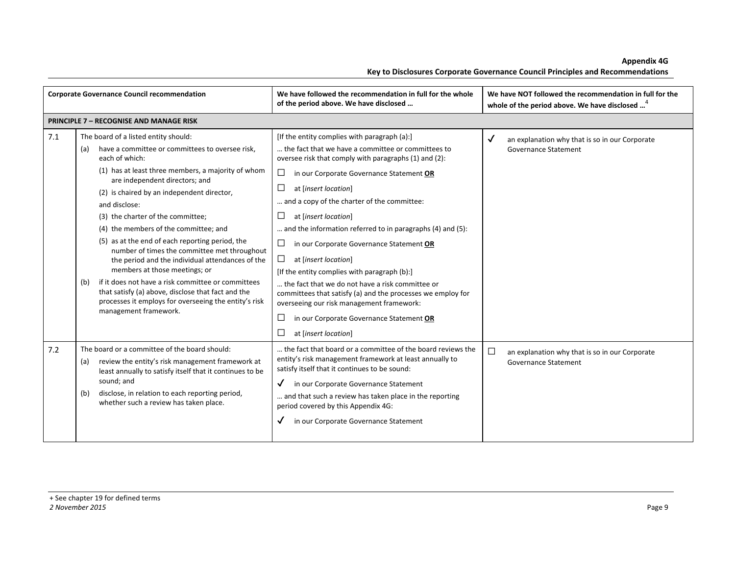| <b>Corporate Governance Council recommendation</b> |                                                                                                                                                                                                                                                                                                                                                                                                                                                                                                                                                                                                                                                                                                                                                    | We have followed the recommendation in full for the whole<br>of the period above. We have disclosed                                                                                                                                                                                                                                                                                                                                                                                                                                                                                                                                                                                                                                                                       | We have NOT followed the recommendation in full for the<br>whole of the period above. We have disclosed <sup>4</sup> |
|----------------------------------------------------|----------------------------------------------------------------------------------------------------------------------------------------------------------------------------------------------------------------------------------------------------------------------------------------------------------------------------------------------------------------------------------------------------------------------------------------------------------------------------------------------------------------------------------------------------------------------------------------------------------------------------------------------------------------------------------------------------------------------------------------------------|---------------------------------------------------------------------------------------------------------------------------------------------------------------------------------------------------------------------------------------------------------------------------------------------------------------------------------------------------------------------------------------------------------------------------------------------------------------------------------------------------------------------------------------------------------------------------------------------------------------------------------------------------------------------------------------------------------------------------------------------------------------------------|----------------------------------------------------------------------------------------------------------------------|
|                                                    | <b>PRINCIPLE 7 - RECOGNISE AND MANAGE RISK</b>                                                                                                                                                                                                                                                                                                                                                                                                                                                                                                                                                                                                                                                                                                     |                                                                                                                                                                                                                                                                                                                                                                                                                                                                                                                                                                                                                                                                                                                                                                           |                                                                                                                      |
| 7.1                                                | The board of a listed entity should:<br>have a committee or committees to oversee risk,<br>(a)<br>each of which:<br>(1) has at least three members, a majority of whom<br>are independent directors; and<br>(2) is chaired by an independent director,<br>and disclose:<br>(3) the charter of the committee;<br>(4) the members of the committee; and<br>(5) as at the end of each reporting period, the<br>number of times the committee met throughout<br>the period and the individual attendances of the<br>members at those meetings; or<br>if it does not have a risk committee or committees<br>(b)<br>that satisfy (a) above, disclose that fact and the<br>processes it employs for overseeing the entity's risk<br>management framework. | [If the entity complies with paragraph (a):]<br>the fact that we have a committee or committees to<br>oversee risk that comply with paragraphs (1) and (2):<br>□<br>in our Corporate Governance Statement OR<br>□<br>at [insert location]<br>and a copy of the charter of the committee:<br>$\Box$<br>at [insert location]<br>and the information referred to in paragraphs (4) and (5):<br>□<br>in our Corporate Governance Statement OR<br>$\Box$<br>at [insert location]<br>[If the entity complies with paragraph (b):]<br>the fact that we do not have a risk committee or<br>committees that satisfy (a) and the processes we employ for<br>overseeing our risk management framework:<br>□<br>in our Corporate Governance Statement OR<br>□<br>at [insert location] | √<br>an explanation why that is so in our Corporate<br><b>Governance Statement</b>                                   |
| 7.2                                                | The board or a committee of the board should:<br>review the entity's risk management framework at<br>(a)<br>least annually to satisfy itself that it continues to be<br>sound; and<br>disclose, in relation to each reporting period,<br>(b)<br>whether such a review has taken place.                                                                                                                                                                                                                                                                                                                                                                                                                                                             | the fact that board or a committee of the board reviews the<br>entity's risk management framework at least annually to<br>satisfy itself that it continues to be sound:<br>$\checkmark$<br>in our Corporate Governance Statement<br>and that such a review has taken place in the reporting<br>period covered by this Appendix 4G:<br>in our Corporate Governance Statement<br>√                                                                                                                                                                                                                                                                                                                                                                                          | $\Box$<br>an explanation why that is so in our Corporate<br>Governance Statement                                     |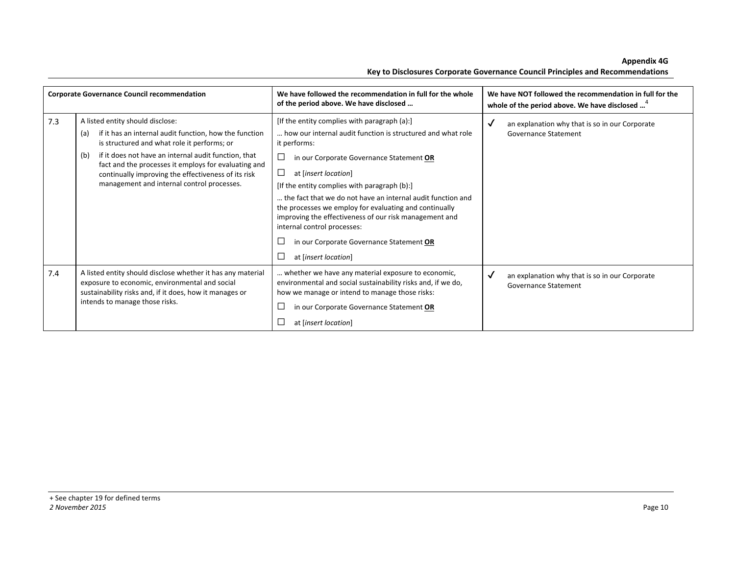|     | <b>Corporate Governance Council recommendation</b>                                                                                                                                                                                                                                                                                                                           | We have followed the recommendation in full for the whole<br>of the period above. We have disclosed                                                                                                                                                                                                                                                                                                                                                                                                                                   | We have NOT followed the recommendation in full for the<br>whole of the period above. We have disclosed <sup>4</sup> |
|-----|------------------------------------------------------------------------------------------------------------------------------------------------------------------------------------------------------------------------------------------------------------------------------------------------------------------------------------------------------------------------------|---------------------------------------------------------------------------------------------------------------------------------------------------------------------------------------------------------------------------------------------------------------------------------------------------------------------------------------------------------------------------------------------------------------------------------------------------------------------------------------------------------------------------------------|----------------------------------------------------------------------------------------------------------------------|
| 7.3 | A listed entity should disclose:<br>if it has an internal audit function, how the function<br>(a)<br>is structured and what role it performs; or<br>if it does not have an internal audit function, that<br>(b)<br>fact and the processes it employs for evaluating and<br>continually improving the effectiveness of its risk<br>management and internal control processes. | [If the entity complies with paragraph (a):]<br>how our internal audit function is structured and what role<br>it performs:<br>in our Corporate Governance Statement OR<br>at [insert location]<br>[If the entity complies with paragraph (b):]<br>the fact that we do not have an internal audit function and<br>the processes we employ for evaluating and continually<br>improving the effectiveness of our risk management and<br>internal control processes:<br>in our Corporate Governance Statement OR<br>at [insert location] | an explanation why that is so in our Corporate<br>√<br>Governance Statement                                          |
| 7.4 | A listed entity should disclose whether it has any material<br>exposure to economic, environmental and social<br>sustainability risks and, if it does, how it manages or<br>intends to manage those risks.                                                                                                                                                                   | whether we have any material exposure to economic,<br>environmental and social sustainability risks and, if we do,<br>how we manage or intend to manage those risks:<br>in our Corporate Governance Statement OR<br>at [insert location]                                                                                                                                                                                                                                                                                              | √<br>an explanation why that is so in our Corporate<br><b>Governance Statement</b>                                   |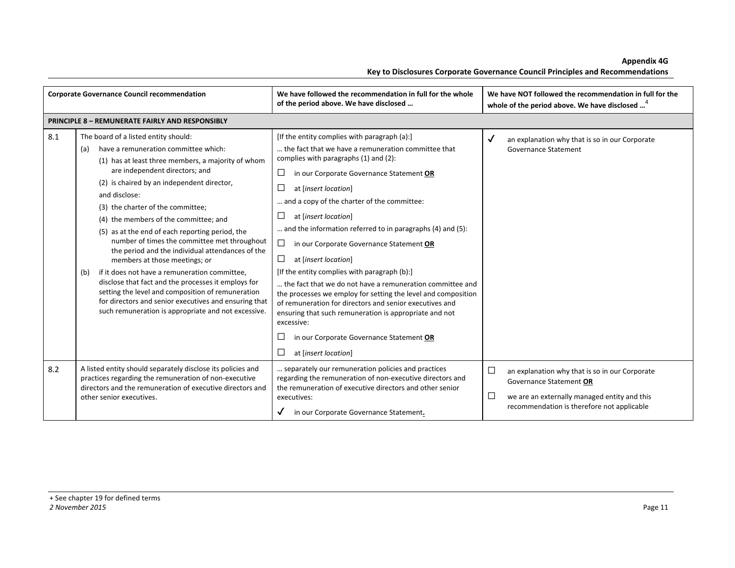| <b>Corporate Governance Council recommendation</b> |                                                                                                                                                                                                                                                                                                                                                                                                                                                                                                                                                                                                                                                                                                                                                                                                      | We have followed the recommendation in full for the whole<br>of the period above. We have disclosed                                                                                                                                                                                                                                                                                                                                                                                                                                                                                                                                                                                                                                                                                                                                          | We have NOT followed the recommendation in full for the<br>whole of the period above. We have disclosed <sup>4</sup>                                                                   |
|----------------------------------------------------|------------------------------------------------------------------------------------------------------------------------------------------------------------------------------------------------------------------------------------------------------------------------------------------------------------------------------------------------------------------------------------------------------------------------------------------------------------------------------------------------------------------------------------------------------------------------------------------------------------------------------------------------------------------------------------------------------------------------------------------------------------------------------------------------------|----------------------------------------------------------------------------------------------------------------------------------------------------------------------------------------------------------------------------------------------------------------------------------------------------------------------------------------------------------------------------------------------------------------------------------------------------------------------------------------------------------------------------------------------------------------------------------------------------------------------------------------------------------------------------------------------------------------------------------------------------------------------------------------------------------------------------------------------|----------------------------------------------------------------------------------------------------------------------------------------------------------------------------------------|
|                                                    | <b>PRINCIPLE 8 - REMUNERATE FAIRLY AND RESPONSIBLY</b>                                                                                                                                                                                                                                                                                                                                                                                                                                                                                                                                                                                                                                                                                                                                               |                                                                                                                                                                                                                                                                                                                                                                                                                                                                                                                                                                                                                                                                                                                                                                                                                                              |                                                                                                                                                                                        |
| 8.1                                                | The board of a listed entity should:<br>have a remuneration committee which:<br>(a)<br>(1) has at least three members, a majority of whom<br>are independent directors; and<br>(2) is chaired by an independent director,<br>and disclose:<br>(3) the charter of the committee;<br>(4) the members of the committee; and<br>(5) as at the end of each reporting period, the<br>number of times the committee met throughout<br>the period and the individual attendances of the<br>members at those meetings; or<br>if it does not have a remuneration committee,<br>(b)<br>disclose that fact and the processes it employs for<br>setting the level and composition of remuneration<br>for directors and senior executives and ensuring that<br>such remuneration is appropriate and not excessive. | [If the entity complies with paragraph (a):]<br>the fact that we have a remuneration committee that<br>complies with paragraphs (1) and (2):<br>□<br>in our Corporate Governance Statement OR<br>at [insert location]<br>and a copy of the charter of the committee:<br>$\Box$<br>at [insert location]<br>and the information referred to in paragraphs (4) and (5):<br>□<br>in our Corporate Governance Statement OR<br>$\Box$<br>at [insert location]<br>[If the entity complies with paragraph (b):]<br>the fact that we do not have a remuneration committee and<br>the processes we employ for setting the level and composition<br>of remuneration for directors and senior executives and<br>ensuring that such remuneration is appropriate and not<br>excessive:<br>in our Corporate Governance Statement OR<br>at [insert location] | ✓<br>an explanation why that is so in our Corporate<br>Governance Statement                                                                                                            |
| 8.2                                                | A listed entity should separately disclose its policies and<br>practices regarding the remuneration of non-executive<br>directors and the remuneration of executive directors and<br>other senior executives.                                                                                                                                                                                                                                                                                                                                                                                                                                                                                                                                                                                        | separately our remuneration policies and practices<br>regarding the remuneration of non-executive directors and<br>the remuneration of executive directors and other senior<br>executives:<br>in our Corporate Governance Statement.                                                                                                                                                                                                                                                                                                                                                                                                                                                                                                                                                                                                         | $\Box$<br>an explanation why that is so in our Corporate<br>Governance Statement OR<br>□<br>we are an externally managed entity and this<br>recommendation is therefore not applicable |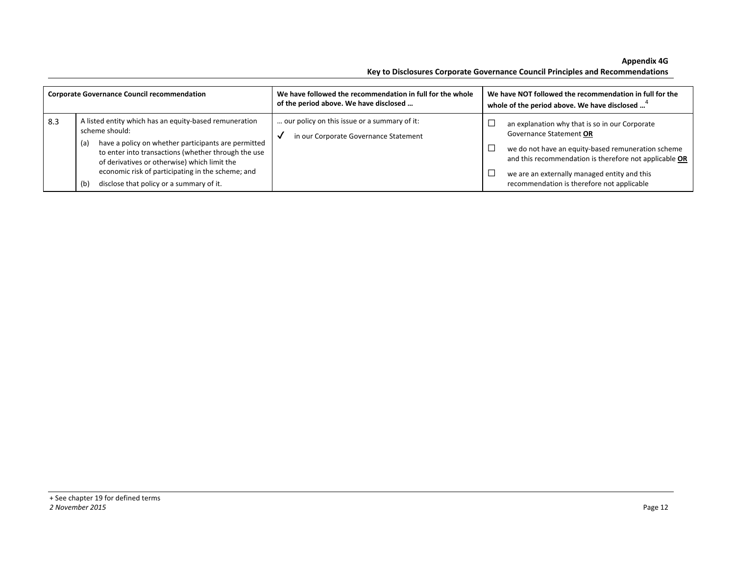**Appendix 4G** 

| <b>Appelluix 49</b>                                                            |
|--------------------------------------------------------------------------------|
| Key to Disclosures Corporate Governance Council Principles and Recommendations |

| <b>Corporate Governance Council recommendation</b> |                                                                                                                                                                                                                                                                                                                                                       | We have followed the recommendation in full for the whole<br>of the period above. We have disclosed | We have NOT followed the recommendation in full for the<br>whole of the period above. We have disclosed <sup>4</sup>                                                                                                                                                                    |
|----------------------------------------------------|-------------------------------------------------------------------------------------------------------------------------------------------------------------------------------------------------------------------------------------------------------------------------------------------------------------------------------------------------------|-----------------------------------------------------------------------------------------------------|-----------------------------------------------------------------------------------------------------------------------------------------------------------------------------------------------------------------------------------------------------------------------------------------|
| 8.3                                                | A listed entity which has an equity-based remuneration<br>scheme should:<br>have a policy on whether participants are permitted<br>(a)<br>to enter into transactions (whether through the use<br>of derivatives or otherwise) which limit the<br>economic risk of participating in the scheme; and<br>disclose that policy or a summary of it.<br>(b) | our policy on this issue or a summary of it:<br>in our Corporate Governance Statement               | an explanation why that is so in our Corporate<br>Governance Statement OR<br>we do not have an equity-based remuneration scheme<br>and this recommendation is therefore not applicable OR<br>we are an externally managed entity and this<br>recommendation is therefore not applicable |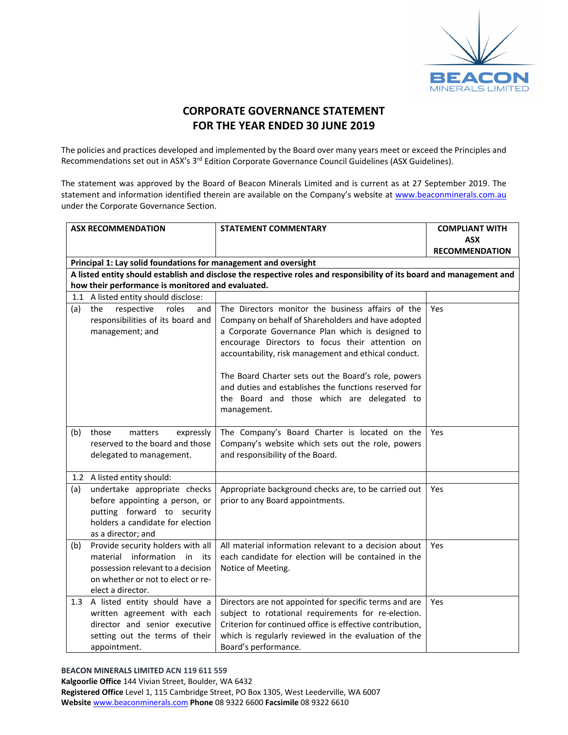

### **CORPORATE GOVERNANCE STATEMENT FOR THE YEAR ENDED 30 JUNE 2019**

The policies and practices developed and implemented by the Board over many years meet or exceed the Principles and Recommendations set out in ASX's 3<sup>rd</sup> Edition Corporate Governance Council Guidelines (ASX Guidelines).

The statement was approved by the Board of Beacon Minerals Limited and is current as at 27 September 2019. The statement and information identified therein are available on the Company's website at www.beaconminerals.com.au under the Corporate Governance Section.

|     | <b>ASX RECOMMENDATION</b>                                                                                                                                          | <b>STATEMENT COMMENTARY</b>                                                                                                                                                                                                                                                                                                                                                                                                                         | <b>COMPLIANT WITH</b> |
|-----|--------------------------------------------------------------------------------------------------------------------------------------------------------------------|-----------------------------------------------------------------------------------------------------------------------------------------------------------------------------------------------------------------------------------------------------------------------------------------------------------------------------------------------------------------------------------------------------------------------------------------------------|-----------------------|
|     |                                                                                                                                                                    |                                                                                                                                                                                                                                                                                                                                                                                                                                                     | <b>ASX</b>            |
|     |                                                                                                                                                                    |                                                                                                                                                                                                                                                                                                                                                                                                                                                     | <b>RECOMMENDATION</b> |
|     | Principal 1: Lay solid foundations for management and oversight                                                                                                    |                                                                                                                                                                                                                                                                                                                                                                                                                                                     |                       |
|     |                                                                                                                                                                    | A listed entity should establish and disclose the respective roles and responsibility of its board and management and                                                                                                                                                                                                                                                                                                                               |                       |
|     | how their performance is monitored and evaluated.                                                                                                                  |                                                                                                                                                                                                                                                                                                                                                                                                                                                     |                       |
|     | 1.1 A listed entity should disclose:                                                                                                                               |                                                                                                                                                                                                                                                                                                                                                                                                                                                     |                       |
| (a) | the<br>respective<br>roles<br>and<br>responsibilities of its board and<br>management; and                                                                          | The Directors monitor the business affairs of the<br>Company on behalf of Shareholders and have adopted<br>a Corporate Governance Plan which is designed to<br>encourage Directors to focus their attention on<br>accountability, risk management and ethical conduct.<br>The Board Charter sets out the Board's role, powers<br>and duties and establishes the functions reserved for<br>the Board and those which are delegated to<br>management. | Yes                   |
| (b) | matters<br>those<br>expressly<br>reserved to the board and those<br>delegated to management.                                                                       | The Company's Board Charter is located on the<br>Company's website which sets out the role, powers<br>and responsibility of the Board.                                                                                                                                                                                                                                                                                                              | Yes                   |
|     | 1.2 A listed entity should:                                                                                                                                        |                                                                                                                                                                                                                                                                                                                                                                                                                                                     |                       |
| (a) | undertake appropriate checks<br>before appointing a person, or<br>putting forward to security<br>holders a candidate for election<br>as a director; and            | Appropriate background checks are, to be carried out<br>prior to any Board appointments.                                                                                                                                                                                                                                                                                                                                                            | Yes                   |
| (b) | Provide security holders with all<br>material information in<br>its<br>possession relevant to a decision<br>on whether or not to elect or re-<br>elect a director. | All material information relevant to a decision about<br>each candidate for election will be contained in the<br>Notice of Meeting.                                                                                                                                                                                                                                                                                                                 | <b>Yes</b>            |
|     | 1.3 A listed entity should have a<br>written agreement with each<br>director and senior executive<br>setting out the terms of their<br>appointment.                | Directors are not appointed for specific terms and are<br>subject to rotational requirements for re-election.<br>Criterion for continued office is effective contribution,<br>which is regularly reviewed in the evaluation of the<br>Board's performance.                                                                                                                                                                                          | Yes                   |

#### **BEACON MINERALS LIMITED ACN 119 611 559**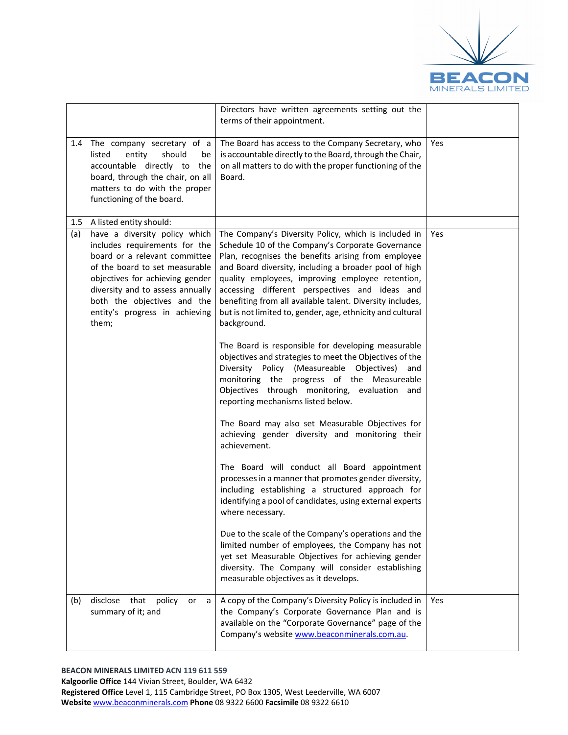

|         |                                                                                                                                                                                                                                                                                    | Directors have written agreements setting out the<br>terms of their appointment.                                                                                                                                                                                                                                                                                                                                                                                                                                                                                                                                                                                                                                                                                                                                                                                                                                                                                                                                                                                                                                                                                                                                                                                                                                                                                                                                           |     |
|---------|------------------------------------------------------------------------------------------------------------------------------------------------------------------------------------------------------------------------------------------------------------------------------------|----------------------------------------------------------------------------------------------------------------------------------------------------------------------------------------------------------------------------------------------------------------------------------------------------------------------------------------------------------------------------------------------------------------------------------------------------------------------------------------------------------------------------------------------------------------------------------------------------------------------------------------------------------------------------------------------------------------------------------------------------------------------------------------------------------------------------------------------------------------------------------------------------------------------------------------------------------------------------------------------------------------------------------------------------------------------------------------------------------------------------------------------------------------------------------------------------------------------------------------------------------------------------------------------------------------------------------------------------------------------------------------------------------------------------|-----|
| 1.4     | The company secretary of a<br>listed<br>entity<br>should<br>be<br>accountable directly to the<br>board, through the chair, on all<br>matters to do with the proper<br>functioning of the board.                                                                                    | The Board has access to the Company Secretary, who<br>is accountable directly to the Board, through the Chair,<br>on all matters to do with the proper functioning of the<br>Board.                                                                                                                                                                                                                                                                                                                                                                                                                                                                                                                                                                                                                                                                                                                                                                                                                                                                                                                                                                                                                                                                                                                                                                                                                                        | Yes |
| $1.5\,$ | A listed entity should:                                                                                                                                                                                                                                                            |                                                                                                                                                                                                                                                                                                                                                                                                                                                                                                                                                                                                                                                                                                                                                                                                                                                                                                                                                                                                                                                                                                                                                                                                                                                                                                                                                                                                                            |     |
| (a)     | have a diversity policy which<br>includes requirements for the<br>board or a relevant committee<br>of the board to set measurable<br>objectives for achieving gender<br>diversity and to assess annually<br>both the objectives and the<br>entity's progress in achieving<br>them; | The Company's Diversity Policy, which is included in<br>Schedule 10 of the Company's Corporate Governance<br>Plan, recognises the benefits arising from employee<br>and Board diversity, including a broader pool of high<br>quality employees, improving employee retention,<br>accessing different perspectives and ideas and<br>benefiting from all available talent. Diversity includes,<br>but is not limited to, gender, age, ethnicity and cultural<br>background.<br>The Board is responsible for developing measurable<br>objectives and strategies to meet the Objectives of the<br>Diversity Policy (Measureable Objectives)<br>and<br>monitoring the<br>progress of the Measureable<br>Objectives through monitoring, evaluation and<br>reporting mechanisms listed below.<br>The Board may also set Measurable Objectives for<br>achieving gender diversity and monitoring their<br>achievement.<br>The Board will conduct all Board appointment<br>processes in a manner that promotes gender diversity,<br>including establishing a structured approach for<br>identifying a pool of candidates, using external experts<br>where necessary.<br>Due to the scale of the Company's operations and the<br>limited number of employees, the Company has not<br>yet set Measurable Objectives for achieving gender<br>diversity. The Company will consider establishing<br>measurable objectives as it develops. | Yes |
|         |                                                                                                                                                                                                                                                                                    |                                                                                                                                                                                                                                                                                                                                                                                                                                                                                                                                                                                                                                                                                                                                                                                                                                                                                                                                                                                                                                                                                                                                                                                                                                                                                                                                                                                                                            |     |
| (b)     | disclose<br>that<br>policy<br>or<br>a<br>summary of it; and                                                                                                                                                                                                                        | A copy of the Company's Diversity Policy is included in<br>the Company's Corporate Governance Plan and is<br>available on the "Corporate Governance" page of the<br>Company's website www.beaconminerals.com.au.                                                                                                                                                                                                                                                                                                                                                                                                                                                                                                                                                                                                                                                                                                                                                                                                                                                                                                                                                                                                                                                                                                                                                                                                           | Yes |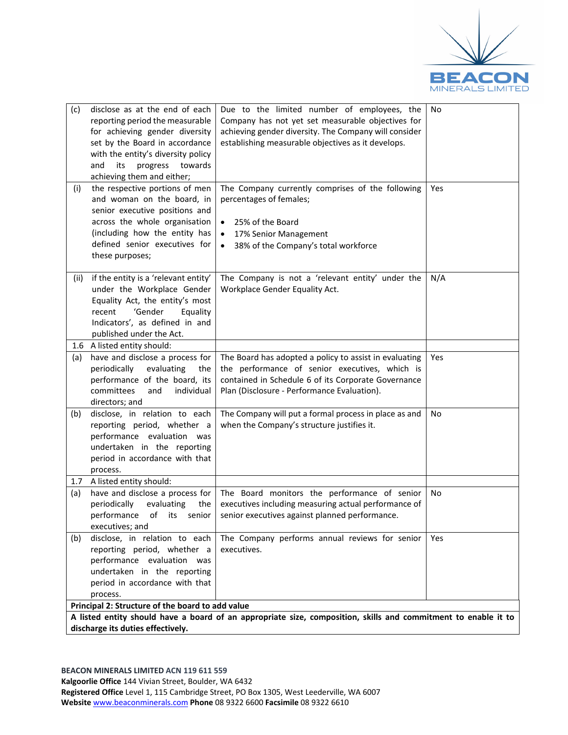

| disclose as at the end of each<br>(c)<br>reporting period the measurable<br>for achieving gender diversity<br>set by the Board in accordance<br>with the entity's diversity policy<br>and<br>its<br>progress<br>towards<br>achieving them and either;<br>the respective portions of men<br>(i)<br>and woman on the board, in<br>senior executive positions and<br>across the whole organisation<br>(including how the entity has<br>defined senior executives for<br>these purposes; | Due to the limited number of employees, the<br>Company has not yet set measurable objectives for<br>achieving gender diversity. The Company will consider<br>establishing measurable objectives as it develops.<br>The Company currently comprises of the following<br>percentages of females;<br>25% of the Board<br>$\bullet$<br>17% Senior Management<br>$\bullet$<br>38% of the Company's total workforce<br>$\bullet$ | No<br>Yes  |  |  |
|--------------------------------------------------------------------------------------------------------------------------------------------------------------------------------------------------------------------------------------------------------------------------------------------------------------------------------------------------------------------------------------------------------------------------------------------------------------------------------------|----------------------------------------------------------------------------------------------------------------------------------------------------------------------------------------------------------------------------------------------------------------------------------------------------------------------------------------------------------------------------------------------------------------------------|------------|--|--|
| if the entity is a 'relevant entity'<br>(ii)<br>under the Workplace Gender<br>Equality Act, the entity's most<br>'Gender<br>recent<br>Equality<br>Indicators', as defined in and<br>published under the Act.<br>1.6 A listed entity should:                                                                                                                                                                                                                                          | The Company is not a 'relevant entity' under the<br>Workplace Gender Equality Act.                                                                                                                                                                                                                                                                                                                                         | N/A        |  |  |
| have and disclose a process for<br>(a)<br>evaluating<br>periodically<br>the<br>performance of the board, its<br>committees<br>and<br>individual<br>directors; and                                                                                                                                                                                                                                                                                                                    | The Board has adopted a policy to assist in evaluating<br>the performance of senior executives, which is<br>contained in Schedule 6 of its Corporate Governance<br>Plan (Disclosure - Performance Evaluation).                                                                                                                                                                                                             | Yes        |  |  |
| disclose, in relation to each<br>(b)<br>reporting period, whether a<br>performance evaluation was<br>undertaken in the reporting<br>period in accordance with that<br>process.                                                                                                                                                                                                                                                                                                       | The Company will put a formal process in place as and<br>when the Company's structure justifies it.                                                                                                                                                                                                                                                                                                                        | No         |  |  |
| A listed entity should:<br>1.7                                                                                                                                                                                                                                                                                                                                                                                                                                                       |                                                                                                                                                                                                                                                                                                                                                                                                                            |            |  |  |
| have and disclose a process for<br>(a)<br>periodically<br>evaluating<br>the<br>performance of its senior<br>executives; and                                                                                                                                                                                                                                                                                                                                                          | The Board monitors the performance of senior<br>executives including measuring actual performance of<br>senior executives against planned performance.                                                                                                                                                                                                                                                                     | No         |  |  |
| disclose, in relation to each<br>(b)<br>reporting period, whether a<br>performance evaluation was<br>undertaken in the reporting<br>period in accordance with that<br>process.<br>Principal 2: Structure of the board to add value                                                                                                                                                                                                                                                   | The Company performs annual reviews for senior<br>executives.                                                                                                                                                                                                                                                                                                                                                              | <b>Yes</b> |  |  |
| A listed entity should have a board of an appropriate size, composition, skills and commitment to enable it to                                                                                                                                                                                                                                                                                                                                                                       |                                                                                                                                                                                                                                                                                                                                                                                                                            |            |  |  |
| discharge its duties effectively.                                                                                                                                                                                                                                                                                                                                                                                                                                                    |                                                                                                                                                                                                                                                                                                                                                                                                                            |            |  |  |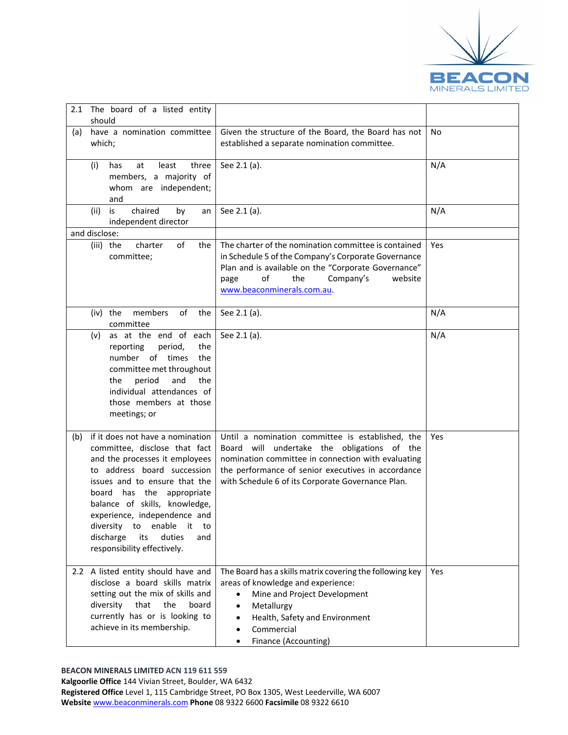

| 2.1<br>should              | The board of a listed entity                                                                                                                                                                                                                                                                                                                              |                                                                                                                                                                                                                                                                     |     |
|----------------------------|-----------------------------------------------------------------------------------------------------------------------------------------------------------------------------------------------------------------------------------------------------------------------------------------------------------------------------------------------------------|---------------------------------------------------------------------------------------------------------------------------------------------------------------------------------------------------------------------------------------------------------------------|-----|
| (a)<br>which;              | have a nomination committee                                                                                                                                                                                                                                                                                                                               | Given the structure of the Board, the Board has not<br>established a separate nomination committee.                                                                                                                                                                 | No  |
| (i)                        | least<br>three<br>has<br>at<br>members, a majority of<br>whom are independent;<br>and                                                                                                                                                                                                                                                                     | See 2.1 (a).                                                                                                                                                                                                                                                        | N/A |
| (ii)                       | is<br>chaired<br>by<br>an<br>independent director                                                                                                                                                                                                                                                                                                         | See 2.1 (a).                                                                                                                                                                                                                                                        | N/A |
| and disclose:<br>(iii) the | of<br>charter<br>the<br>committee;                                                                                                                                                                                                                                                                                                                        | The charter of the nomination committee is contained<br>in Schedule 5 of the Company's Corporate Governance<br>Plan and is available on the "Corporate Governance"<br>of<br>the<br>Company's<br>website<br>page<br>www.beaconminerals.com.au.                       | Yes |
| (iv) the                   | of<br>members<br>the<br>committee                                                                                                                                                                                                                                                                                                                         | See 2.1 (a).                                                                                                                                                                                                                                                        | N/A |
|                            | (v) as at the end of each<br>reporting<br>period,<br>the<br>number of times<br>the<br>committee met throughout<br>period<br>the<br>and<br>the<br>individual attendances of<br>those members at those<br>meetings; or                                                                                                                                      | See 2.1 (a).                                                                                                                                                                                                                                                        | N/A |
| (b)<br>board<br>discharge  | if it does not have a nomination<br>committee, disclose that fact<br>and the processes it employees<br>to address board succession<br>issues and to ensure that the<br>has the<br>appropriate<br>balance of skills, knowledge,<br>experience, independence and<br>diversity to enable<br>it.<br>to<br>duties<br>its<br>and<br>responsibility effectively. | Until a nomination committee is established, the<br>Board will<br>undertake the obligations of the<br>nomination committee in connection with evaluating<br>the performance of senior executives in accordance<br>with Schedule 6 of its Corporate Governance Plan. | Yes |
| diversity                  | 2.2 A listed entity should have and<br>disclose a board skills matrix<br>setting out the mix of skills and<br>that<br>the<br>board<br>currently has or is looking to<br>achieve in its membership.                                                                                                                                                        | The Board has a skills matrix covering the following key<br>areas of knowledge and experience:<br>Mine and Project Development<br>Metallurgy<br>$\bullet$<br>Health, Safety and Environment<br>$\bullet$<br>Commercial<br>Finance (Accounting)                      | Yes |

#### **BEACON MINERALS LIMITED ACN 119 611 559**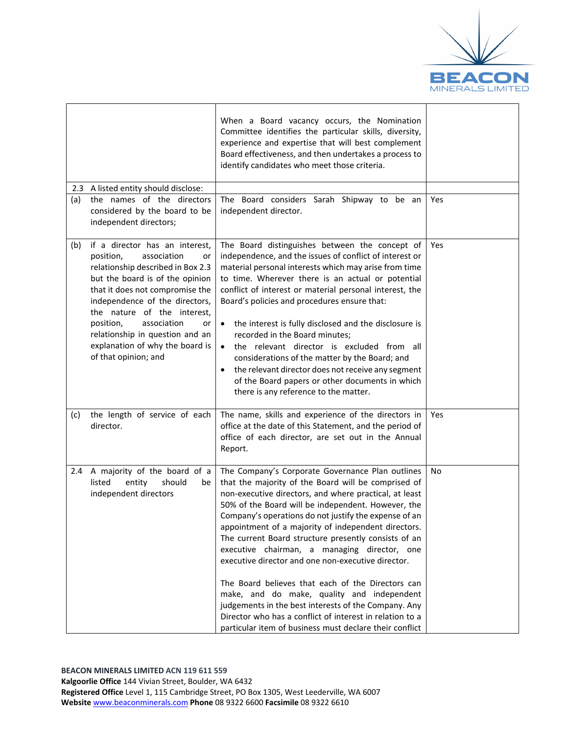

|     |                                                                                                                                                                                                                                                                                                                                                                              | When a Board vacancy occurs, the Nomination<br>Committee identifies the particular skills, diversity,<br>experience and expertise that will best complement<br>Board effectiveness, and then undertakes a process to<br>identify candidates who meet those criteria.                                                                                                                                                                                                                                                                                                                                                                                                                                                                                                                    |            |
|-----|------------------------------------------------------------------------------------------------------------------------------------------------------------------------------------------------------------------------------------------------------------------------------------------------------------------------------------------------------------------------------|-----------------------------------------------------------------------------------------------------------------------------------------------------------------------------------------------------------------------------------------------------------------------------------------------------------------------------------------------------------------------------------------------------------------------------------------------------------------------------------------------------------------------------------------------------------------------------------------------------------------------------------------------------------------------------------------------------------------------------------------------------------------------------------------|------------|
| 2.3 | A listed entity should disclose:<br>the names of the directors                                                                                                                                                                                                                                                                                                               |                                                                                                                                                                                                                                                                                                                                                                                                                                                                                                                                                                                                                                                                                                                                                                                         |            |
| (a) | considered by the board to be<br>independent directors;                                                                                                                                                                                                                                                                                                                      | The Board considers Sarah Shipway to be an<br>independent director.                                                                                                                                                                                                                                                                                                                                                                                                                                                                                                                                                                                                                                                                                                                     | Yes        |
| (b) | if a director has an interest,<br>position,<br>association<br>or<br>relationship described in Box 2.3<br>but the board is of the opinion<br>that it does not compromise the<br>independence of the directors,<br>the nature of the interest,<br>position,<br>association<br>or<br>relationship in question and an<br>explanation of why the board is<br>of that opinion; and | The Board distinguishes between the concept of<br>independence, and the issues of conflict of interest or<br>material personal interests which may arise from time<br>to time. Wherever there is an actual or potential<br>conflict of interest or material personal interest, the<br>Board's policies and procedures ensure that:<br>the interest is fully disclosed and the disclosure is<br>$\bullet$<br>recorded in the Board minutes;<br>the relevant director is excluded from all<br>$\bullet$<br>considerations of the matter by the Board; and<br>the relevant director does not receive any segment<br>of the Board papers or other documents in which<br>there is any reference to the matter.                                                                               | <b>Yes</b> |
| (c) | the length of service of each<br>director.                                                                                                                                                                                                                                                                                                                                   | The name, skills and experience of the directors in<br>office at the date of this Statement, and the period of<br>office of each director, are set out in the Annual<br>Report.                                                                                                                                                                                                                                                                                                                                                                                                                                                                                                                                                                                                         | <b>Yes</b> |
|     | 2.4 A majority of the board of a<br>listed<br>should<br>entity<br>be<br>independent directors                                                                                                                                                                                                                                                                                | The Company's Corporate Governance Plan outlines<br>that the majority of the Board will be comprised of<br>non-executive directors, and where practical, at least<br>50% of the Board will be independent. However, the<br>Company's operations do not justify the expense of an<br>appointment of a majority of independent directors.<br>The current Board structure presently consists of an<br>executive chairman, a managing director, one<br>executive director and one non-executive director.<br>The Board believes that each of the Directors can<br>make, and do make, quality and independent<br>judgements in the best interests of the Company. Any<br>Director who has a conflict of interest in relation to a<br>particular item of business must declare their conflict | No         |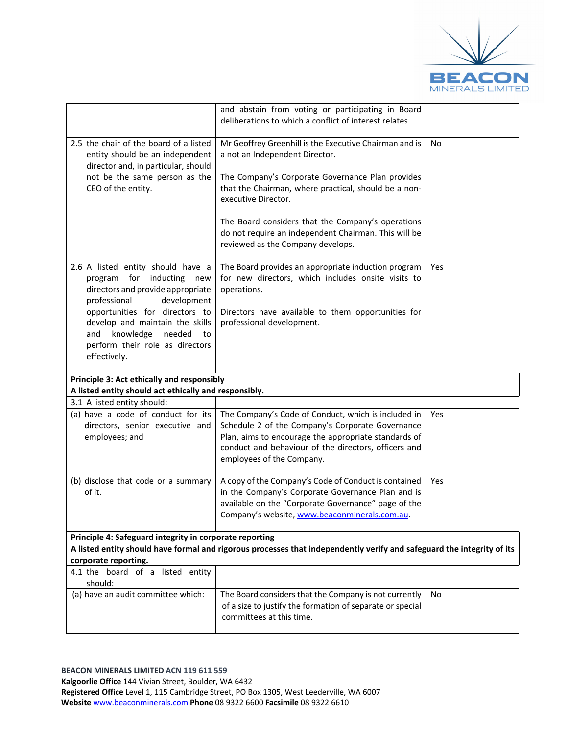

|                                                                                                                                                                                                                                                                                                      | and abstain from voting or participating in Board<br>deliberations to which a conflict of interest relates.                                                                                                                                                                                                                                                                   |     |  |
|------------------------------------------------------------------------------------------------------------------------------------------------------------------------------------------------------------------------------------------------------------------------------------------------------|-------------------------------------------------------------------------------------------------------------------------------------------------------------------------------------------------------------------------------------------------------------------------------------------------------------------------------------------------------------------------------|-----|--|
| 2.5 the chair of the board of a listed<br>entity should be an independent<br>director and, in particular, should<br>not be the same person as the<br>CEO of the entity.                                                                                                                              | Mr Geoffrey Greenhill is the Executive Chairman and is<br>a not an Independent Director.<br>The Company's Corporate Governance Plan provides<br>that the Chairman, where practical, should be a non-<br>executive Director.<br>The Board considers that the Company's operations<br>do not require an independent Chairman. This will be<br>reviewed as the Company develops. | No  |  |
| 2.6 A listed entity should have a<br>for inducting<br>program<br>new<br>directors and provide appropriate<br>professional<br>development<br>opportunities for directors to<br>develop and maintain the skills<br>knowledge<br>needed<br>and<br>to<br>perform their role as directors<br>effectively. | The Board provides an appropriate induction program<br>for new directors, which includes onsite visits to<br>operations.<br>Directors have available to them opportunities for<br>professional development.                                                                                                                                                                   | Yes |  |
| Principle 3: Act ethically and responsibly                                                                                                                                                                                                                                                           |                                                                                                                                                                                                                                                                                                                                                                               |     |  |
| A listed entity should act ethically and responsibly.                                                                                                                                                                                                                                                |                                                                                                                                                                                                                                                                                                                                                                               |     |  |
| 3.1 A listed entity should:                                                                                                                                                                                                                                                                          |                                                                                                                                                                                                                                                                                                                                                                               |     |  |
| (a) have a code of conduct for its<br>directors, senior executive and<br>employees; and                                                                                                                                                                                                              | The Company's Code of Conduct, which is included in<br>Schedule 2 of the Company's Corporate Governance<br>Plan, aims to encourage the appropriate standards of<br>conduct and behaviour of the directors, officers and<br>employees of the Company.                                                                                                                          | Yes |  |
| (b) disclose that code or a summary<br>of it.                                                                                                                                                                                                                                                        | A copy of the Company's Code of Conduct is contained<br>in the Company's Corporate Governance Plan and is<br>available on the "Corporate Governance" page of the<br>Company's website, www.beaconminerals.com.au.                                                                                                                                                             | Yes |  |
| Principle 4: Safeguard integrity in corporate reporting                                                                                                                                                                                                                                              |                                                                                                                                                                                                                                                                                                                                                                               |     |  |
| A listed entity should have formal and rigorous processes that independently verify and safeguard the integrity of its<br>corporate reporting.                                                                                                                                                       |                                                                                                                                                                                                                                                                                                                                                                               |     |  |
| 4.1 the board of a listed entity<br>should:                                                                                                                                                                                                                                                          |                                                                                                                                                                                                                                                                                                                                                                               |     |  |
| (a) have an audit committee which:                                                                                                                                                                                                                                                                   | The Board considers that the Company is not currently<br>of a size to justify the formation of separate or special<br>committees at this time.                                                                                                                                                                                                                                | No  |  |
|                                                                                                                                                                                                                                                                                                      |                                                                                                                                                                                                                                                                                                                                                                               |     |  |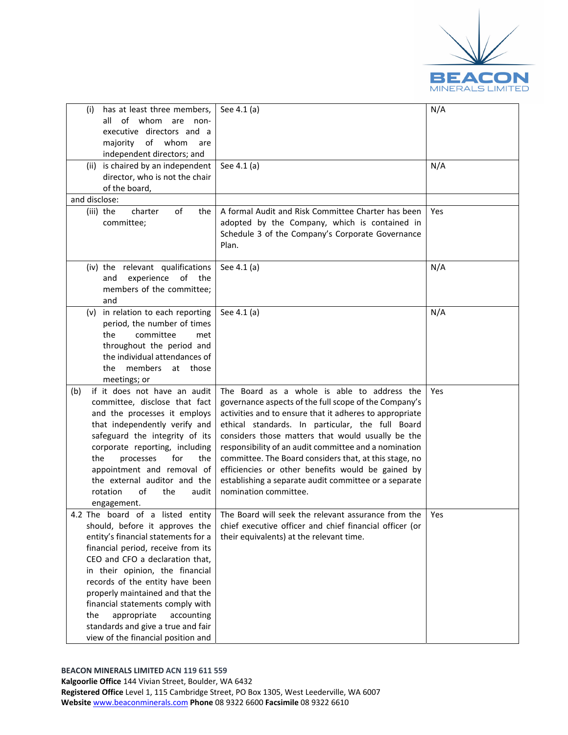

| has at least three members,<br>(i)<br>all of whom are non-<br>executive directors and a<br>of whom<br>majority<br>are<br>independent directors; and                                                                                                                                                                                                                                                          | See 4.1 (a)                                                                                                                                                                                                                                                                                                                                                                                                                                                                                                                        | N/A        |
|--------------------------------------------------------------------------------------------------------------------------------------------------------------------------------------------------------------------------------------------------------------------------------------------------------------------------------------------------------------------------------------------------------------|------------------------------------------------------------------------------------------------------------------------------------------------------------------------------------------------------------------------------------------------------------------------------------------------------------------------------------------------------------------------------------------------------------------------------------------------------------------------------------------------------------------------------------|------------|
| (ii) is chaired by an independent<br>director, who is not the chair<br>of the board,                                                                                                                                                                                                                                                                                                                         | See 4.1 (a)                                                                                                                                                                                                                                                                                                                                                                                                                                                                                                                        | N/A        |
| and disclose:                                                                                                                                                                                                                                                                                                                                                                                                |                                                                                                                                                                                                                                                                                                                                                                                                                                                                                                                                    |            |
| charter<br>of<br>(iii) the<br>the<br>committee;                                                                                                                                                                                                                                                                                                                                                              | A formal Audit and Risk Committee Charter has been<br>adopted by the Company, which is contained in<br>Schedule 3 of the Company's Corporate Governance<br>Plan.                                                                                                                                                                                                                                                                                                                                                                   | <b>Yes</b> |
| (iv) the relevant qualifications<br>experience<br>of the<br>and<br>members of the committee;<br>and                                                                                                                                                                                                                                                                                                          | See 4.1 (a)                                                                                                                                                                                                                                                                                                                                                                                                                                                                                                                        | N/A        |
| (v) in relation to each reporting<br>period, the number of times<br>committee<br>the<br>met<br>throughout the period and<br>the individual attendances of<br>members<br>the<br>at those<br>meetings; or                                                                                                                                                                                                      | See 4.1 (a)                                                                                                                                                                                                                                                                                                                                                                                                                                                                                                                        | N/A        |
| if it does not have an audit<br>(b)<br>committee, disclose that fact<br>and the processes it employs<br>that independently verify and<br>safeguard the integrity of its<br>corporate reporting, including<br>the<br>processes<br>for<br>the<br>appointment and removal of<br>the external auditor and the<br>rotation<br>of<br>the<br>audit<br>engagement.                                                   | The Board as a whole is able to address the<br>governance aspects of the full scope of the Company's<br>activities and to ensure that it adheres to appropriate<br>ethical standards. In particular, the full Board<br>considers those matters that would usually be the<br>responsibility of an audit committee and a nomination<br>committee. The Board considers that, at this stage, no<br>efficiencies or other benefits would be gained by<br>establishing a separate audit committee or a separate<br>nomination committee. | Yes        |
| should, before it approves the<br>entity's financial statements for a<br>financial period, receive from its<br>CEO and CFO a declaration that,<br>in their opinion, the financial<br>records of the entity have been<br>properly maintained and that the<br>financial statements comply with<br>appropriate<br>the<br>accounting<br>standards and give a true and fair<br>view of the financial position and | 4.2 The board of a listed entity The Board will seek the relevant assurance from the<br>chief executive officer and chief financial officer (or<br>their equivalents) at the relevant time.                                                                                                                                                                                                                                                                                                                                        | Yes        |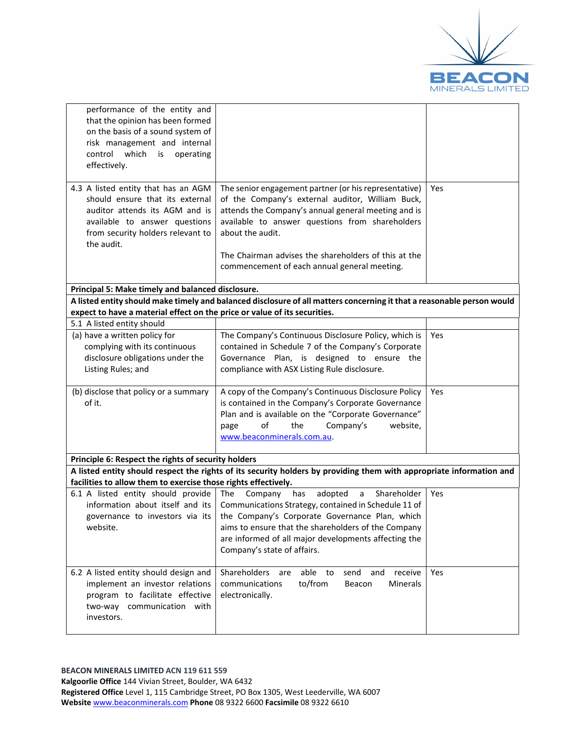

| performance of the entity and<br>that the opinion has been formed<br>on the basis of a sound system of<br>risk management and internal<br>control which is<br>operating<br>effectively.      |                                                                                                                                                                                                                                                                                                                                                |     |
|----------------------------------------------------------------------------------------------------------------------------------------------------------------------------------------------|------------------------------------------------------------------------------------------------------------------------------------------------------------------------------------------------------------------------------------------------------------------------------------------------------------------------------------------------|-----|
| 4.3 A listed entity that has an AGM<br>should ensure that its external<br>auditor attends its AGM and is<br>available to answer questions<br>from security holders relevant to<br>the audit. | The senior engagement partner (or his representative)<br>of the Company's external auditor, William Buck,<br>attends the Company's annual general meeting and is<br>available to answer questions from shareholders<br>about the audit.<br>The Chairman advises the shareholders of this at the                                                | Yes |
|                                                                                                                                                                                              | commencement of each annual general meeting.                                                                                                                                                                                                                                                                                                   |     |
| Principal 5: Make timely and balanced disclosure.                                                                                                                                            |                                                                                                                                                                                                                                                                                                                                                |     |
| expect to have a material effect on the price or value of its securities.                                                                                                                    | A listed entity should make timely and balanced disclosure of all matters concerning it that a reasonable person would                                                                                                                                                                                                                         |     |
| 5.1 A listed entity should                                                                                                                                                                   |                                                                                                                                                                                                                                                                                                                                                |     |
| (a) have a written policy for<br>complying with its continuous<br>disclosure obligations under the<br>Listing Rules; and                                                                     | The Company's Continuous Disclosure Policy, which is<br>contained in Schedule 7 of the Company's Corporate<br>Governance Plan, is designed to ensure the<br>compliance with ASX Listing Rule disclosure.                                                                                                                                       | Yes |
| (b) disclose that policy or a summary<br>of it.                                                                                                                                              | A copy of the Company's Continuous Disclosure Policy<br>is contained in the Company's Corporate Governance<br>Plan and is available on the "Corporate Governance"<br>of<br>the<br>Company's<br>website,<br>page<br>www.beaconminerals.com.au.                                                                                                  | Yes |
| Principle 6: Respect the rights of security holders                                                                                                                                          |                                                                                                                                                                                                                                                                                                                                                |     |
| facilities to allow them to exercise those rights effectively.                                                                                                                               | A listed entity should respect the rights of its security holders by providing them with appropriate information and                                                                                                                                                                                                                           |     |
| 6.1 A listed entity should provide<br>information about itself and its<br>website.                                                                                                           | Shareholder<br>The<br>Company<br>has<br>adopted<br>a<br>Communications Strategy, contained in Schedule 11 of<br>governance to investors via its   the Company's Corporate Governance Plan, which<br>aims to ensure that the shareholders of the Company<br>are informed of all major developments affecting the<br>Company's state of affairs. | Yes |
| 6.2 A listed entity should design and<br>implement an investor relations<br>program to facilitate effective<br>two-way communication with<br>investors.                                      | Shareholders<br>able to<br>send<br>receive<br>are<br>and<br>to/from<br>communications<br>Minerals<br>Beacon<br>electronically.                                                                                                                                                                                                                 | Yes |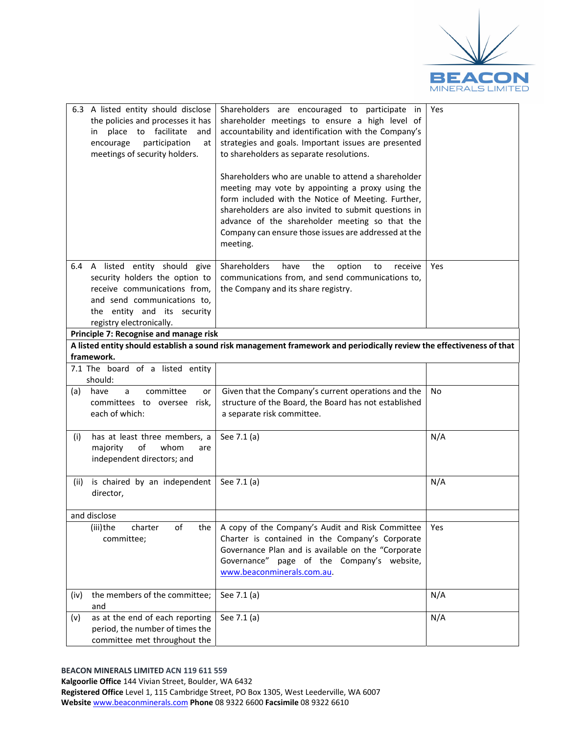

| 6.3 A listed entity should disclose<br>the policies and processes it has<br>place to facilitate<br>and<br>in<br>participation<br>encourage<br>at<br>meetings of security holders.           | Shareholders are encouraged to participate in<br>shareholder meetings to ensure a high level of<br>accountability and identification with the Company's<br>strategies and goals. Important issues are presented<br>to shareholders as separate resolutions.<br>Shareholders who are unable to attend a shareholder<br>meeting may vote by appointing a proxy using the<br>form included with the Notice of Meeting. Further,<br>shareholders are also invited to submit questions in<br>advance of the shareholder meeting so that the<br>Company can ensure those issues are addressed at the<br>meeting. | Yes       |
|---------------------------------------------------------------------------------------------------------------------------------------------------------------------------------------------|------------------------------------------------------------------------------------------------------------------------------------------------------------------------------------------------------------------------------------------------------------------------------------------------------------------------------------------------------------------------------------------------------------------------------------------------------------------------------------------------------------------------------------------------------------------------------------------------------------|-----------|
| 6.4 A listed entity should give<br>security holders the option to<br>receive communications from,<br>and send communications to,<br>the entity and its security<br>registry electronically. | Shareholders<br>the<br>option<br>have<br>receive<br>to<br>communications from, and send communications to,<br>the Company and its share registry.                                                                                                                                                                                                                                                                                                                                                                                                                                                          | Yes       |
| Principle 7: Recognise and manage risk                                                                                                                                                      |                                                                                                                                                                                                                                                                                                                                                                                                                                                                                                                                                                                                            |           |
| framework.                                                                                                                                                                                  | A listed entity should establish a sound risk management framework and periodically review the effectiveness of that                                                                                                                                                                                                                                                                                                                                                                                                                                                                                       |           |
| 7.1 The board of a listed entity                                                                                                                                                            |                                                                                                                                                                                                                                                                                                                                                                                                                                                                                                                                                                                                            |           |
| should:                                                                                                                                                                                     |                                                                                                                                                                                                                                                                                                                                                                                                                                                                                                                                                                                                            |           |
| committee<br>have<br>a<br>(a)<br>or<br>committees to oversee risk,<br>each of which:                                                                                                        | Given that the Company's current operations and the<br>structure of the Board, the Board has not established<br>a separate risk committee.                                                                                                                                                                                                                                                                                                                                                                                                                                                                 | <b>No</b> |
| has at least three members, a<br>(i)<br>of<br>majority<br>whom<br>are<br>independent directors; and                                                                                         | See 7.1 (a)                                                                                                                                                                                                                                                                                                                                                                                                                                                                                                                                                                                                | N/A       |
| is chaired by an independent<br>(ii)<br>director,                                                                                                                                           | See 7.1 (a)                                                                                                                                                                                                                                                                                                                                                                                                                                                                                                                                                                                                | N/A       |
| and disclose                                                                                                                                                                                |                                                                                                                                                                                                                                                                                                                                                                                                                                                                                                                                                                                                            |           |
| of<br>charter<br>the<br>(iii)the<br>committee;                                                                                                                                              | A copy of the Company's Audit and Risk Committee<br>Charter is contained in the Company's Corporate<br>Governance Plan and is available on the "Corporate<br>Governance" page of the Company's website,<br>www.beaconminerals.com.au.                                                                                                                                                                                                                                                                                                                                                                      | Yes       |
| the members of the committee;<br>(iv)<br>and                                                                                                                                                | See 7.1 (a)                                                                                                                                                                                                                                                                                                                                                                                                                                                                                                                                                                                                | N/A       |
| as at the end of each reporting<br>(v)<br>period, the number of times the<br>committee met throughout the                                                                                   | See 7.1 (a)                                                                                                                                                                                                                                                                                                                                                                                                                                                                                                                                                                                                | N/A       |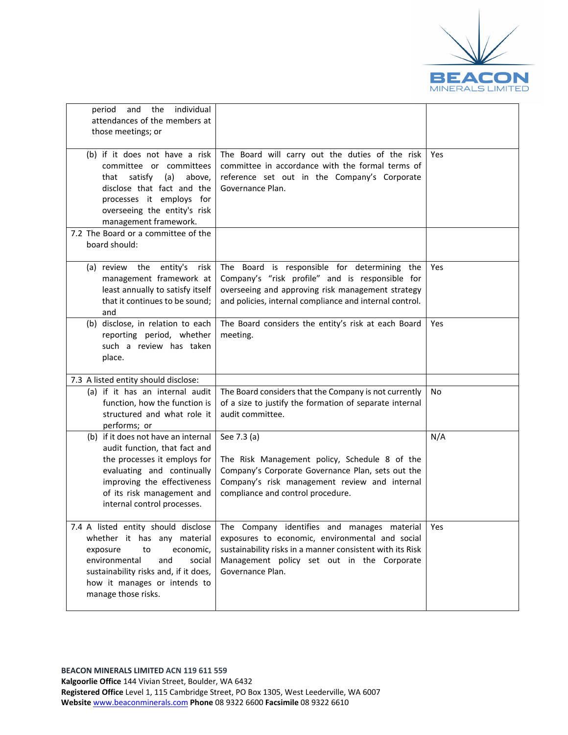

| individual<br>the<br>period<br>and<br>attendances of the members at<br>those meetings; or                                                                                                                                           |                                                                                                                                                                                                                               |     |
|-------------------------------------------------------------------------------------------------------------------------------------------------------------------------------------------------------------------------------------|-------------------------------------------------------------------------------------------------------------------------------------------------------------------------------------------------------------------------------|-----|
| (b) if it does not have a risk<br>committee or committees<br>satisfy (a)<br>above,<br>that<br>disclose that fact and the<br>processes it employs for<br>overseeing the entity's risk<br>management framework.                       | The Board will carry out the duties of the risk<br>committee in accordance with the formal terms of<br>reference set out in the Company's Corporate<br>Governance Plan.                                                       | Yes |
| 7.2 The Board or a committee of the<br>board should:                                                                                                                                                                                |                                                                                                                                                                                                                               |     |
| (a) review the entity's<br>risk<br>management framework at<br>least annually to satisfy itself<br>that it continues to be sound;<br>and                                                                                             | The Board is responsible for determining the<br>Company's "risk profile" and is responsible for<br>overseeing and approving risk management strategy<br>and policies, internal compliance and internal control.               | Yes |
| (b) disclose, in relation to each<br>reporting period, whether<br>such a review has taken<br>place.                                                                                                                                 | The Board considers the entity's risk at each Board<br>meeting.                                                                                                                                                               | Yes |
| 7.3 A listed entity should disclose:                                                                                                                                                                                                |                                                                                                                                                                                                                               |     |
| (a) if it has an internal audit<br>function, how the function is<br>structured and what role it<br>performs; or                                                                                                                     | The Board considers that the Company is not currently<br>of a size to justify the formation of separate internal<br>audit committee.                                                                                          | No. |
| (b) if it does not have an internal<br>audit function, that fact and<br>the processes it employs for<br>evaluating and continually<br>improving the effectiveness<br>of its risk management and<br>internal control processes.      | See 7.3 (a)<br>The Risk Management policy, Schedule 8 of the<br>Company's Corporate Governance Plan, sets out the<br>Company's risk management review and internal<br>compliance and control procedure.                       | N/A |
| 7.4 A listed entity should disclose<br>whether it has any material<br>to<br>economic,<br>exposure<br>environmental<br>social<br>and<br>sustainability risks and, if it does,<br>how it manages or intends to<br>manage those risks. | The Company identifies and manages material<br>exposures to economic, environmental and social<br>sustainability risks in a manner consistent with its Risk<br>Management policy set out in the Corporate<br>Governance Plan. | Yes |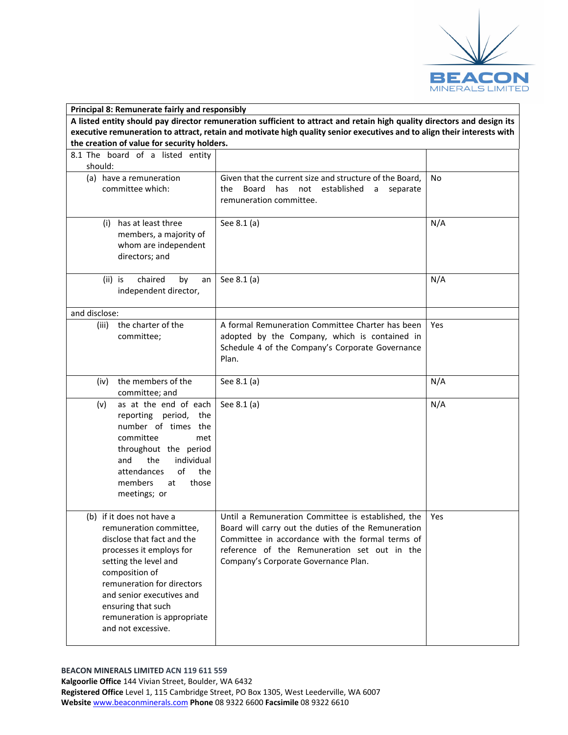

| Principal 8: Remunerate fairly and responsibly                                                                          |                                                                                                                         |     |  |
|-------------------------------------------------------------------------------------------------------------------------|-------------------------------------------------------------------------------------------------------------------------|-----|--|
| A listed entity should pay director remuneration sufficient to attract and retain high quality directors and design its |                                                                                                                         |     |  |
|                                                                                                                         | executive remuneration to attract, retain and motivate high quality senior executives and to align their interests with |     |  |
| the creation of value for security holders.                                                                             |                                                                                                                         |     |  |
| 8.1 The board of a listed entity                                                                                        |                                                                                                                         |     |  |
| should:                                                                                                                 |                                                                                                                         |     |  |
| (a) have a remuneration<br>committee which:                                                                             | Given that the current size and structure of the Board,                                                                 | No  |  |
|                                                                                                                         | Board<br>has<br>not established<br>the<br>a<br>separate<br>remuneration committee.                                      |     |  |
|                                                                                                                         |                                                                                                                         |     |  |
| (i) has at least three                                                                                                  | See 8.1 (a)                                                                                                             | N/A |  |
| members, a majority of                                                                                                  |                                                                                                                         |     |  |
| whom are independent                                                                                                    |                                                                                                                         |     |  |
| directors; and                                                                                                          |                                                                                                                         |     |  |
|                                                                                                                         |                                                                                                                         |     |  |
| chaired<br>(ii) is<br>by<br>an                                                                                          | See 8.1 (a)                                                                                                             | N/A |  |
| independent director,                                                                                                   |                                                                                                                         |     |  |
| and disclose:                                                                                                           |                                                                                                                         |     |  |
| the charter of the<br>(iii)                                                                                             | A formal Remuneration Committee Charter has been                                                                        | Yes |  |
| committee;                                                                                                              | adopted by the Company, which is contained in                                                                           |     |  |
|                                                                                                                         | Schedule 4 of the Company's Corporate Governance                                                                        |     |  |
|                                                                                                                         | Plan.                                                                                                                   |     |  |
|                                                                                                                         |                                                                                                                         |     |  |
| the members of the<br>(iv)                                                                                              | See 8.1 (a)                                                                                                             | N/A |  |
| committee; and                                                                                                          |                                                                                                                         |     |  |
| as at the end of each<br>(v)                                                                                            | See 8.1 (a)                                                                                                             | N/A |  |
| reporting period, the                                                                                                   |                                                                                                                         |     |  |
| number of times the                                                                                                     |                                                                                                                         |     |  |
| committee<br>met                                                                                                        |                                                                                                                         |     |  |
| throughout the period<br>and<br>the<br>individual                                                                       |                                                                                                                         |     |  |
| οf<br>the<br>attendances                                                                                                |                                                                                                                         |     |  |
| members<br>those<br>at                                                                                                  |                                                                                                                         |     |  |
| meetings; or                                                                                                            |                                                                                                                         |     |  |
|                                                                                                                         |                                                                                                                         |     |  |
| (b) if it does not have a                                                                                               | Until a Remuneration Committee is established, the                                                                      | Yes |  |
| remuneration committee,                                                                                                 | Board will carry out the duties of the Remuneration                                                                     |     |  |
| disclose that fact and the                                                                                              | Committee in accordance with the formal terms of                                                                        |     |  |
| processes it employs for                                                                                                | reference of the Remuneration set out in the                                                                            |     |  |
| setting the level and                                                                                                   | Company's Corporate Governance Plan.                                                                                    |     |  |
| composition of                                                                                                          |                                                                                                                         |     |  |
| remuneration for directors                                                                                              |                                                                                                                         |     |  |
| and senior executives and                                                                                               |                                                                                                                         |     |  |
| ensuring that such                                                                                                      |                                                                                                                         |     |  |
| remuneration is appropriate<br>and not excessive.                                                                       |                                                                                                                         |     |  |
|                                                                                                                         |                                                                                                                         |     |  |
|                                                                                                                         |                                                                                                                         |     |  |